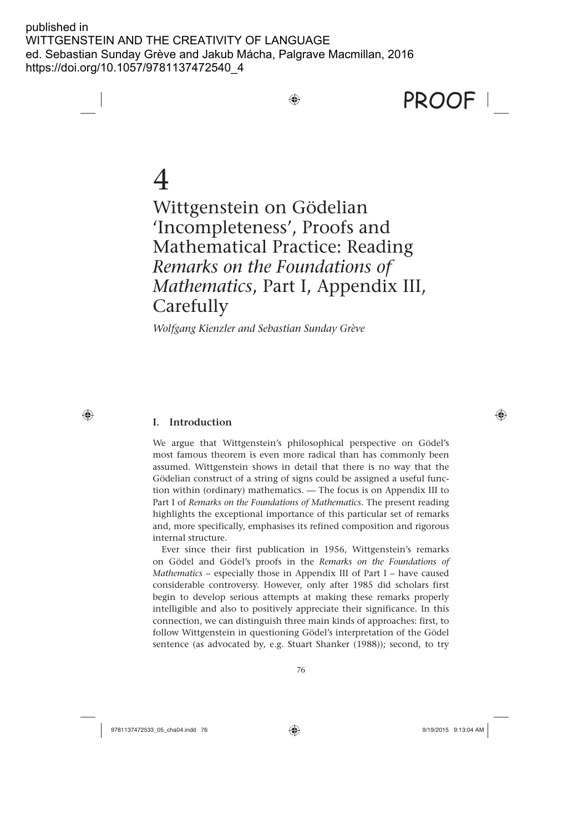published in WITTGENSTEIN AND THE CREATIVITY OF LANGUAGE ed. Sebastian Sunday Grève and Jakub Mácha, Palgrave Macmillan, 2016 https://doi.org/10.1057/9781137472540\_4

♠

# PROOF |

# 4

 Wittgenstein on Gödelian 'Incompleteness', Proofs and Mathematical Practice: Reading *Remarks on the Foundations of Mathematics* , Part I, Appendix III, Carefully

 *Wolfgang Kienzler and Sebastian Sunday Grève* 

⊕

# **I. Introduction**

 We argue that Wittgenstein's philosophical perspective on Gödel's most famous theorem is even more radical than has commonly been assumed. Wittgenstein shows in detail that there is no way that the Gödelian construct of a string of signs could be assigned a useful function within (ordinary) mathematics. — The focus is on Appendix III to Part I of *Remarks on the Foundations of Mathematics* . The present reading highlights the exceptional importance of this particular set of remarks and, more specifically, emphasises its refined composition and rigorous internal structure.

 Ever since their first publication in 1956, Wittgenstein's remarks on Gödel and Gödel's proofs in the *Remarks on the Foundations of Mathematics* – especially those in Appendix III of Part I – have caused considerable controversy. However, only after 1985 did scholars first begin to develop serious attempts at making these remarks properly intelligible and also to positively appreciate their significance. In this connection, we can distinguish three main kinds of approaches: first, to follow Wittgenstein in questioning Gödel's interpretation of the Gödel sentence (as advocated by, e.g. Stuart Shanker (1988)); second, to try

9781137472533\_05\_cha04.indd 76  $\bigoplus$  9/19/2015 9:13:04 AM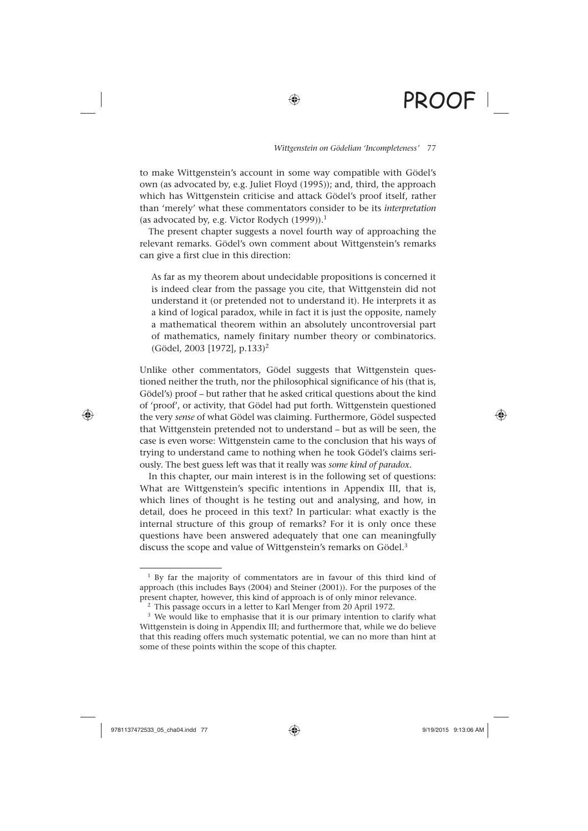# PROOF |

#### *Wittgenstein on Gödelian 'Incompleteness'* 77

to make Wittgenstein's account in some way compatible with Gödel's own (as advocated by, e.g. Juliet Floyd (1995)); and, third, the approach which has Wittgenstein criticise and attack Gödel's proof itself, rather than 'merely' what these commentators consider to be its *interpretation* (as advocated by, e.g. Victor Rodych  $(1999)$ ).<sup>1</sup>

♠

 The present chapter suggests a novel fourth way of approaching the relevant remarks. Gödel's own comment about Wittgenstein's remarks can give a first clue in this direction:

 As far as my theorem about undecidable propositions is concerned it is indeed clear from the passage you cite, that Wittgenstein did not understand it (or pretended not to understand it). He interprets it as a kind of logical paradox, while in fact it is just the opposite, namely a mathematical theorem within an absolutely uncontroversial part of mathematics, namely finitary number theory or combinatorics. (Gödel, 2003 [1972], p.133) <sup>2</sup>

 Unlike other commentators, Gödel suggests that Wittgenstein questioned neither the truth, nor the philosophical significance of his (that is, Gödel's) proof – but rather that he asked critical questions about the kind of 'proof', or activity, that Gödel had put forth. Wittgenstein questioned the very *sense* of what Gödel was claiming. Furthermore, Gödel suspected that Wittgenstein pretended not to understand – but as will be seen, the case is even worse: Wittgenstein came to the conclusion that his ways of trying to understand came to nothing when he took Gödel's claims seriously. The best guess left was that it really was *some kind of paradox* .

 In this chapter, our main interest is in the following set of questions: What are Wittgenstein's specific intentions in Appendix III, that is, which lines of thought is he testing out and analysing, and how, in detail, does he proceed in this text? In particular: what exactly is the internal structure of this group of remarks? For it is only once these questions have been answered adequately that one can meaningfully discuss the scope and value of Wittgenstein's remarks on Gödel.<sup>3</sup>

◈

<sup>&</sup>lt;sup>1</sup> By far the majority of commentators are in favour of this third kind of approach (this includes Bays (2004) and Steiner (2001)). For the purposes of the present chapter, however, this kind of approach is of only minor relevance.

<sup>2</sup>This passage occurs in a letter to Karl Menger from 20 April 1972.

<sup>&</sup>lt;sup>3</sup> We would like to emphasise that it is our primary intention to clarify what Wittgenstein is doing in Appendix III; and furthermore that, while we do believe that this reading offers much systematic potential, we can no more than hint at some of these points within the scope of this chapter.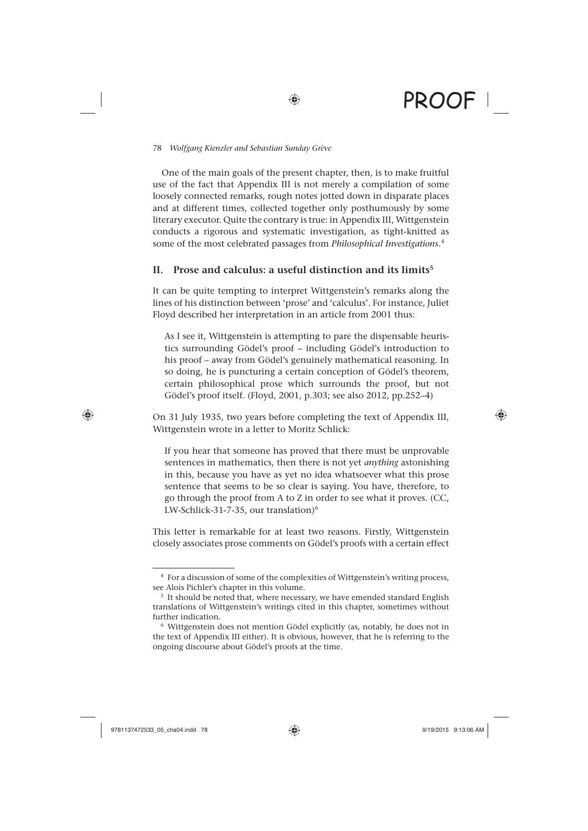#### 78 *Wolfgang Kienzler and Sebastian Sunday Grève*

 One of the main goals of the present chapter, then, is to make fruitful use of the fact that Appendix III is not merely a compilation of some loosely connected remarks, rough notes jotted down in disparate places and at different times, collected together only posthumously by some literary executor. Quite the contrary is true: in Appendix III, Wittgenstein conducts a rigorous and systematic investigation, as tight-knitted as some of the most celebrated passages from *Philosophical Investigations* . 4

♠

# **II. Prose and calculus: a useful distinction and its limits <sup>5</sup>**

 It can be quite tempting to interpret Wittgenstein's remarks along the lines of his distinction between 'prose' and 'calculus'. For instance, Juliet Floyd described her interpretation in an article from 2001 thus:

 As I see it, Wittgenstein is attempting to pare the dispensable heuristics surrounding Gödel's proof – including Gödel's introduction to his proof – away from Gödel's genuinely mathematical reasoning. In so doing, he is puncturing a certain conception of Gödel's theorem, certain philosophical prose which surrounds the proof, but not Gödel's proof itself. (Floyd, 2001, p.303; see also 2012, pp.252–4)

 On 31 July 1935, two years before completing the text of Appendix III, Wittgenstein wrote in a letter to Moritz Schlick:

 If you hear that someone has proved that there must be unprovable sentences in mathematics, then there is not yet *anything* astonishing in this, because you have as yet no idea whatsoever what this prose sentence that seems to be so clear is saying. You have, therefore, to go through the proof from A to Z in order to see what it proves. (CC, LW-Schlick-31-7-35, our translation)<sup>6</sup>

 This letter is remarkable for at least two reasons. Firstly, Wittgenstein closely associates prose comments on Gödel's proofs with a certain effect

◈

 $^4\,$  For a discussion of some of the complexities of Wittgenstein's writing process, see Alois Pichler's chapter in this volume.

It should be noted that, where necessary, we have emended standard English translations of Wittgenstein's writings cited in this chapter, sometimes without further indication.

Wittgenstein does not mention Gödel explicitly (as, notably, he does not in the text of Appendix III either). It is obvious, however, that he is referring to the ongoing discourse about Gödel's proofs at the time.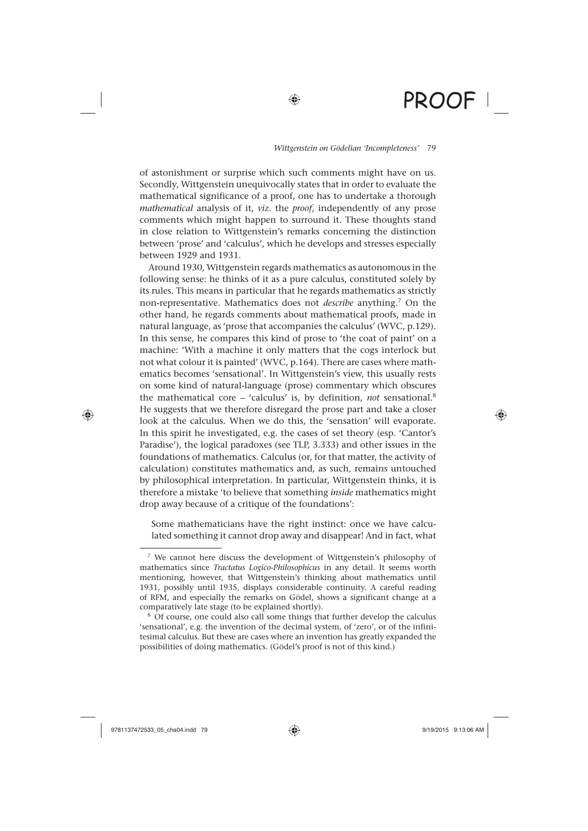# PROOF |

#### *Wittgenstein on Gödelian 'Incompleteness'* 79

of astonishment or surprise which such comments might have on us. Secondly, Wittgenstein unequivocally states that in order to evaluate the mathematical significance of a proof, one has to undertake a thorough *mathematical* analysis of it, *viz*. the *proof*, independently of any prose comments which might happen to surround it. These thoughts stand in close relation to Wittgenstein's remarks concerning the distinction between 'prose' and 'calculus', which he develops and stresses especially between 1929 and 1931.

♠

 Around 1930, Wittgenstein regards mathematics as autonomous in the following sense: he thinks of it as a pure calculus, constituted solely by its rules. This means in particular that he regards mathematics as strictly non-representative. Mathematics does not *describe* anything.<sup>7</sup> On the other hand, he regards comments about mathematical proofs, made in natural language, as 'prose that accompanies the calculus' (WVC, p.129). In this sense, he compares this kind of prose to 'the coat of paint' on a machine: 'With a machine it only matters that the cogs interlock but not what colour it is painted' (WVC, p.164). There are cases where mathematics becomes 'sensational'. In Wittgenstein's view, this usually rests on some kind of natural-language (prose) commentary which obscures the mathematical core – 'calculus' is, by definition, *not* sensational. <sup>8</sup> He suggests that we therefore disregard the prose part and take a closer look at the calculus. When we do this, the 'sensation' will evaporate. In this spirit he investigated, e.g. the cases of set theory (esp. 'Cantor's Paradise'), the logical paradoxes (see TLP, 3.333) and other issues in the foundations of mathematics. Calculus (or, for that matter, the activity of calculation) constitutes mathematics and, as such, remains untouched by philosophical interpretation. In particular, Wittgenstein thinks, it is therefore a mistake 'to believe that something *inside* mathematics might drop away because of a critique of the foundations':

 Some mathematicians have the right instinct: once we have calculated something it cannot drop away and disappear! And in fact, what

◈

⊕

<sup>7</sup>We cannot here discuss the development of Wittgenstein's philosophy of mathematics since *Tractatus Logico-Philosophicus* in any detail. It seems worth mentioning, however, that Wittgenstein's thinking about mathematics until 1931, possibly until 1935, displays considerable continuity. A careful reading of RFM, and especially the remarks on Gödel, shows a significant change at a comparatively late stage (to be explained shortly).

<sup>&</sup>lt;sup>8</sup> Of course, one could also call some things that further develop the calculus 'sensational', e.g. the invention of the decimal system, of 'zero', or of the infinitesimal calculus. But these are cases where an invention has greatly expanded the possibilities of doing mathematics. (Gödel's proof is not of this kind.)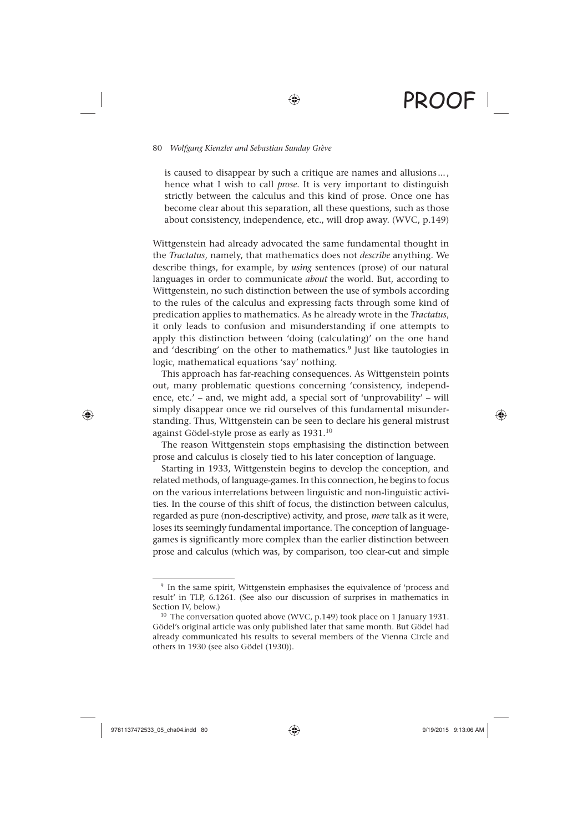#### 80 *Wolfgang Kienzler and Sebastian Sunday Grève*

is caused to disappear by such a critique are names and allusions ... , hence what I wish to call *prose* . It is very important to distinguish strictly between the calculus and this kind of prose. Once one has become clear about this separation, all these questions, such as those about consistency, independence, etc., will drop away. (WVC, p.149)

♠

 Wittgenstein had already advocated the same fundamental thought in the *Tractatus* , namely, that mathematics does not *describe* anything. We describe things, for example, by *using* sentences (prose) of our natural languages in order to communicate *about* the world. But, according to Wittgenstein, no such distinction between the use of symbols according to the rules of the calculus and expressing facts through some kind of predication applies to mathematics. As he already wrote in the *Tractatus* , it only leads to confusion and misunderstanding if one attempts to apply this distinction between 'doing (calculating)' on the one hand and 'describing' on the other to mathematics.<sup>9</sup> Just like tautologies in logic, mathematical equations 'say' nothing.

 This approach has far-reaching consequences. As Wittgenstein points out, many problematic questions concerning 'consistency, independence, etc.' – and, we might add, a special sort of 'unprovability' – will simply disappear once we rid ourselves of this fundamental misunderstanding. Thus, Wittgenstein can be seen to declare his general mistrust against Gödel-style prose as early as 1931. <sup>10</sup>

 The reason Wittgenstein stops emphasising the distinction between prose and calculus is closely tied to his later conception of language.

 Starting in 1933, Wittgenstein begins to develop the conception, and related methods, of language-games. In this connection, he begins to focus on the various interrelations between linguistic and non-linguistic activities. In the course of this shift of focus, the distinction between calculus, regarded as pure (non-descriptive) activity, and prose, *mere* talk as it were, loses its seemingly fundamental importance. The conception of languagegames is significantly more complex than the earlier distinction between prose and calculus (which was, by comparison, too clear-cut and simple

◈

In the same spirit, Wittgenstein emphasises the equivalence of 'process and result' in TLP, 6.1261. (See also our discussion of surprises in mathematics in Section IV, below.)

 $10$  The conversation quoted above (WVC, p.149) took place on 1 January 1931. Gödel's original article was only published later that same month. But Gödel had already communicated his results to several members of the Vienna Circle and others in 1930 (see also Gödel (1930)).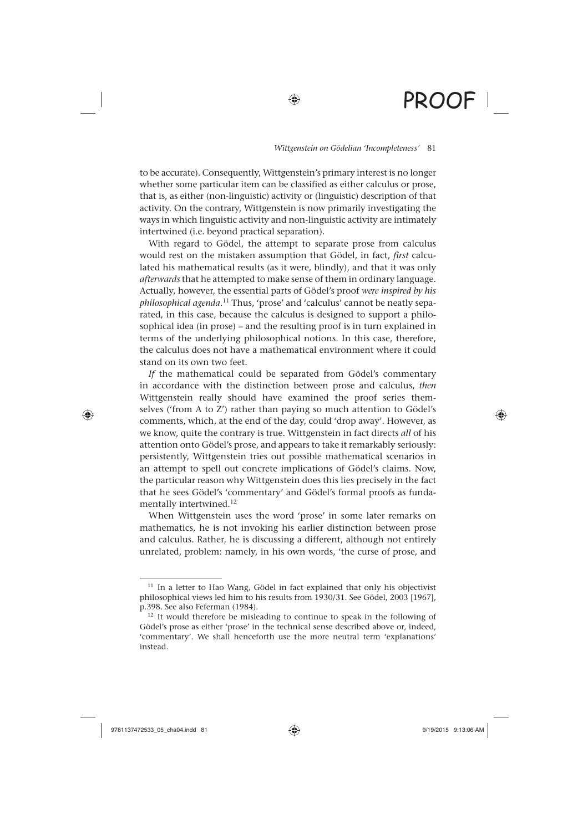# PROOF |

#### *Wittgenstein on Gödelian 'Incompleteness'* 81

to be accurate). Consequently, Wittgenstein's primary interest is no longer whether some particular item can be classified as either calculus or prose, that is, as either (non-linguistic) activity or (linguistic) description of that activity. On the contrary, Wittgenstein is now primarily investigating the ways in which linguistic activity and non-linguistic activity are intimately intertwined (i.e. beyond practical separation).

♠

 With regard to Gödel, the attempt to separate prose from calculus would rest on the mistaken assumption that Gödel, in fact, *first* calculated his mathematical results (as it were, blindly), and that it was only *afterwards* that he attempted to make sense of them in ordinary language. Actually, however, the essential parts of Gödel's proof *were inspired by his*  philosophical agenda.<sup>11</sup> Thus, 'prose' and 'calculus' cannot be neatly separated, in this case, because the calculus is designed to support a philosophical idea (in prose) – and the resulting proof is in turn explained in terms of the underlying philosophical notions. In this case, therefore, the calculus does not have a mathematical environment where it could stand on its own two feet.

*If* the mathematical could be separated from Gödel's commentary in accordance with the distinction between prose and calculus, *then* Wittgenstein really should have examined the proof series themselves ('from A to Z') rather than paying so much attention to Gödel's comments, which, at the end of the day, could 'drop away'. However, as we know, quite the contrary is true. Wittgenstein in fact directs *all* of his attention onto Gödel's prose, and appears to take it remarkably seriously: persistently, Wittgenstein tries out possible mathematical scenarios in an attempt to spell out concrete implications of Gödel's claims. Now, the particular reason why Wittgenstein does this lies precisely in the fact that he sees Gödel's 'commentary' and Gödel's formal proofs as fundamentally intertwined. <sup>12</sup>

 When Wittgenstein uses the word 'prose' in some later remarks on mathematics, he is not invoking his earlier distinction between prose and calculus. Rather, he is discussing a different, although not entirely unrelated, problem: namely, in his own words, 'the curse of prose, and

◈

<sup>&</sup>lt;sup>11</sup> In a letter to Hao Wang, Gödel in fact explained that only his objectivist philosophical views led him to his results from 1930/31. See Gödel, 2003 [1967], p.398. See also Feferman (1984).

<sup>&</sup>lt;sup>12</sup> It would therefore be misleading to continue to speak in the following of Gödel's prose as either 'prose' in the technical sense described above or, indeed, 'commentary'. We shall henceforth use the more neutral term 'explanations' instead.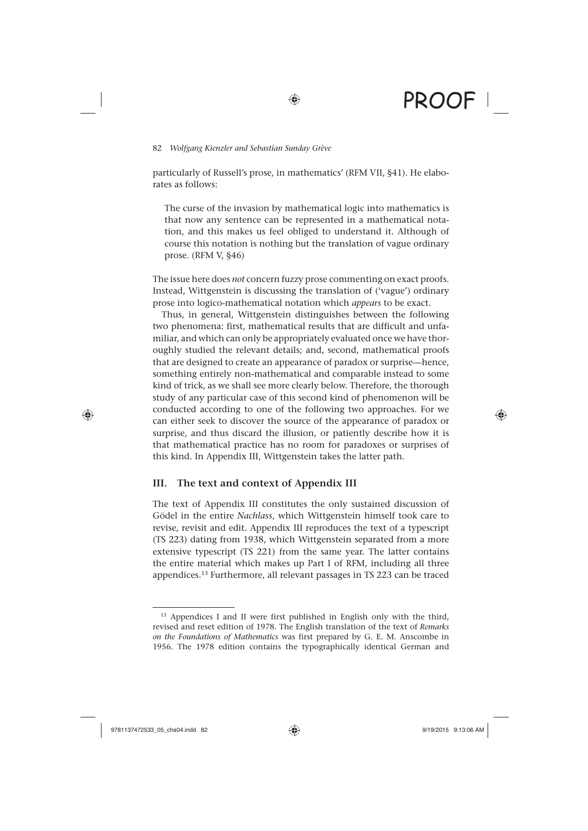#### 82 *Wolfgang Kienzler and Sebastian Sunday Grève*

particularly of Russell's prose, in mathematics' (RFM VII, §41). He elaborates as follows:

♠

 The curse of the invasion by mathematical logic into mathematics is that now any sentence can be represented in a mathematical notation, and this makes us feel obliged to understand it. Although of course this notation is nothing but the translation of vague ordinary prose. (RFM V, §46)

 The issue here does *not* concern fuzzy prose commenting on exact proofs. Instead, Wittgenstein is discussing the translation of ('vague') ordinary prose into logico-mathematical notation which *appears* to be exact.

 Thus, in general, Wittgenstein distinguishes between the following two phenomena: first, mathematical results that are difficult and unfamiliar, and which can only be appropriately evaluated once we have thoroughly studied the relevant details; and, second, mathematical proofs that are designed to create an appearance of paradox or surprise—hence, something entirely non-mathematical and comparable instead to some kind of trick, as we shall see more clearly below. Therefore, the thorough study of any particular case of this second kind of phenomenon will be conducted according to one of the following two approaches. For we can either seek to discover the source of the appearance of paradox or surprise, and thus discard the illusion, or patiently describe how it is that mathematical practice has no room for paradoxes or surprises of this kind. In Appendix III, Wittgenstein takes the latter path.

## **III. The text and context of Appendix III**

 The text of Appendix III constitutes the only sustained discussion of Gödel in the entire *Nachlass* , which Wittgenstein himself took care to revise, revisit and edit. Appendix III reproduces the text of a typescript (TS 223) dating from 1938, which Wittgenstein separated from a more extensive typescript (TS 221) from the same year. The latter contains the entire material which makes up Part I of RFM, including all three appendices. <sup>13</sup> Furthermore, all relevant passages in TS 223 can be traced

⊕

<sup>&</sup>lt;sup>13</sup> Appendices I and II were first published in English only with the third, revised and reset edition of 1978. The English translation of the text of *Remarks on the Foundations of Mathematics* was first prepared by G. E. M. Anscombe in 1956. The 1978 edition contains the typographically identical German and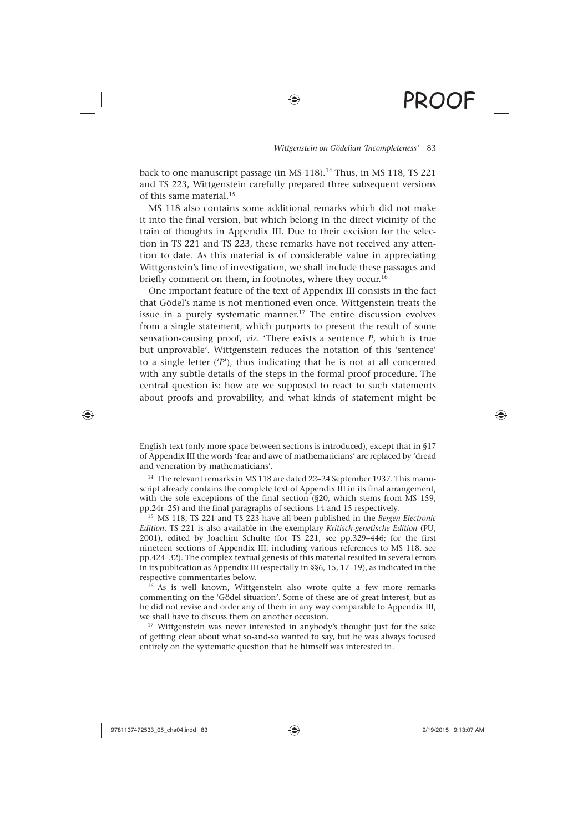# PROOF |

#### *Wittgenstein on Gödelian 'Incompleteness'* 83

back to one manuscript passage (in MS 118). <sup>14</sup> Thus, in MS 118, TS 221 and TS 223, Wittgenstein carefully prepared three subsequent versions of this same material. <sup>15</sup>

 MS 118 also contains some additional remarks which did not make it into the final version, but which belong in the direct vicinity of the train of thoughts in Appendix III. Due to their excision for the selection in TS 221 and TS 223, these remarks have not received any attention to date. As this material is of considerable value in appreciating Wittgenstein's line of investigation, we shall include these passages and briefly comment on them, in footnotes, where they occur.<sup>16</sup>

 One important feature of the text of Appendix III consists in the fact that Gödel's name is not mentioned even once. Wittgenstein treats the issue in a purely systematic manner.<sup>17</sup> The entire discussion evolves from a single statement, which purports to present the result of some sensation-causing proof, *viz*. 'There exists a sentence *P*, which is true but unprovable'. Wittgenstein reduces the notation of this 'sentence' to a single letter  $(P')$ , thus indicating that he is not at all concerned with any subtle details of the steps in the formal proof procedure. The central question is: how are we supposed to react to such statements about proofs and provability, and what kinds of statement might be

<sup>15</sup>MS 118, TS 221 and TS 223 have all been published in the *Bergen Electronic Edition* . TS 221 is also available in the exemplary *Kritisch-genetische Edition* (PU, 2001), edited by Joachim Schulte (for TS 221, see pp.329–446; for the first nineteen sections of Appendix III, including various references to MS 118, see pp.424–32). The complex textual genesis of this material resulted in several errors in its publication as Appendix III (especially in §§6, 15, 17–19), as indicated in the respective commentaries below.

<sup>16</sup> As is well known, Wittgenstein also wrote quite a few more remarks commenting on the 'Gödel situation'. Some of these are of great interest, but as he did not revise and order any of them in any way comparable to Appendix III, we shall have to discuss them on another occasion.

<sup>17</sup> Wittgenstein was never interested in anybody's thought just for the sake of getting clear about what so-and-so wanted to say, but he was always focused entirely on the systematic question that he himself was interested in.

⊕

♠

English text (only more space between sections is introduced), except that in §17 of Appendix III the words 'fear and awe of mathematicians' are replaced by 'dread and veneration by mathematicians'.

<sup>&</sup>lt;sup>14</sup> The relevant remarks in MS 118 are dated 22-24 September 1937. This manuscript already contains the complete text of Appendix III in its final arrangement, with the sole exceptions of the final section (§20, which stems from MS 159, pp.24r–25) and the final paragraphs of sections 14 and 15 respectively.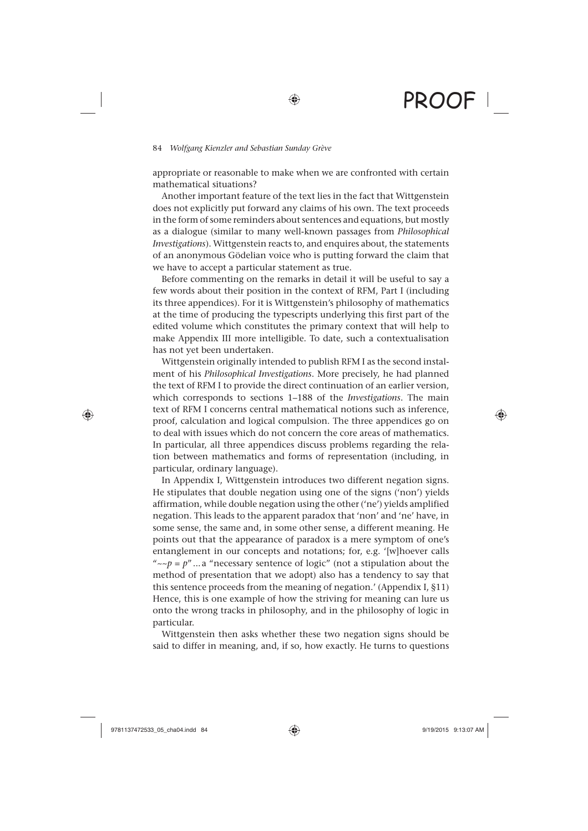appropriate or reasonable to make when we are confronted with certain mathematical situations?

♠

 Another important feature of the text lies in the fact that Wittgenstein does not explicitly put forward any claims of his own. The text proceeds in the form of some reminders about sentences and equations, but mostly as a dialogue (similar to many well-known passages from *Philosophical Investigations* ). Wittgenstein reacts to, and enquires about, the statements of an anonymous Gödelian voice who is putting forward the claim that we have to accept a particular statement as true.

 Before commenting on the remarks in detail it will be useful to say a few words about their position in the context of RFM, Part I (including its three appendices). For it is Wittgenstein's philosophy of mathematics at the time of producing the typescripts underlying this first part of the edited volume which constitutes the primary context that will help to make Appendix III more intelligible. To date, such a contextualisation has not yet been undertaken.

 Wittgenstein originally intended to publish RFM I as the second instalment of his *Philosophical Investigations* . More precisely, he had planned the text of RFM I to provide the direct continuation of an earlier version, which corresponds to sections 1-188 of the *Investigations*. The main text of RFM I concerns central mathematical notions such as inference, proof, calculation and logical compulsion. The three appendices go on to deal with issues which do not concern the core areas of mathematics. In particular, all three appendices discuss problems regarding the relation between mathematics and forms of representation (including, in particular, ordinary language).

 In Appendix I, Wittgenstein introduces two different negation signs. He stipulates that double negation using one of the signs ('non') yields affirmation, while double negation using the other ('ne') yields amplified negation. This leads to the apparent paradox that 'non' and 'ne' have, in some sense, the same and, in some other sense, a different meaning. He points out that the appearance of paradox is a mere symptom of one's entanglement in our concepts and notations; for, e.g. '[w]hoever calls " $\sim p = p$ "... a "necessary sentence of logic" (not a stipulation about the method of presentation that we adopt) also has a tendency to say that this sentence proceeds from the meaning of negation.' (Appendix I, §11) Hence, this is one example of how the striving for meaning can lure us onto the wrong tracks in philosophy, and in the philosophy of logic in particular.

 Wittgenstein then asks whether these two negation signs should be said to differ in meaning, and, if so, how exactly. He turns to questions

◈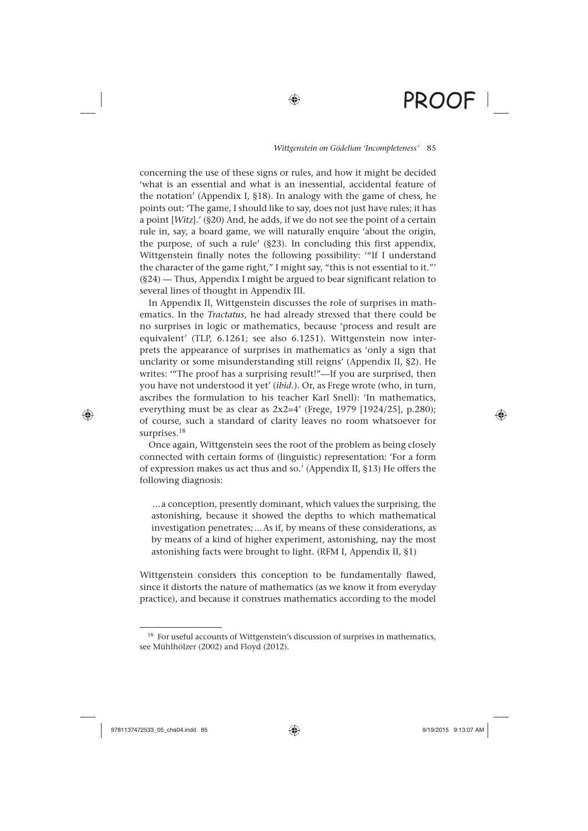#### *Wittgenstein on Gödelian 'Incompleteness'* 85

concerning the use of these signs or rules, and how it might be decided 'what is an essential and what is an inessential, accidental feature of the notation' (Appendix I, §18). In analogy with the game of chess, he points out: 'The game, I should like to say, does not just have rules; it has a point [Witz].' (§20) And, he adds, if we do not see the point of a certain rule in, say, a board game, we will naturally enquire 'about the origin, the purpose, of such a rule' (§23). In concluding this first appendix, Wittgenstein finally notes the following possibility: '"If I understand the character of the game right," I might say, "this is not essential to it."' (§24) — Thus, Appendix I might be argued to bear significant relation to several lines of thought in Appendix III.

♠

 In Appendix II, Wittgenstein discusses the role of surprises in mathematics. In the *Tractatus*, he had already stressed that there could be no surprises in logic or mathematics, because 'process and result are equivalent' (TLP, 6.1261; see also 6.1251). Wittgenstein now interprets the appearance of surprises in mathematics as 'only a sign that unclarity or some misunderstanding still reigns' (Appendix II, §2). He writes: '"The proof has a surprising result!"—If you are surprised, then you have not understood it yet' (*ibid*.). Or, as Frege wrote (who, in turn, ascribes the formulation to his teacher Karl Snell): 'In mathematics, everything must be as clear as  $2x2=4'$  (Frege, 1979 [1924/25], p.280); of course, such a standard of clarity leaves no room whatsoever for surprises.<sup>18</sup>

 Once again, Wittgenstein sees the root of the problem as being closely connected with certain forms of (linguistic) representation: 'For a form of expression makes us act thus and so.' (Appendix II, §13) He offers the following diagnosis:

 ... a conception, presently dominant, which values the surprising, the astonishing, because it showed the depths to which mathematical investigation penetrates; ... As if, by means of these considerations, as by means of a kind of higher experiment, astonishing, nay the most astonishing facts were brought to light. (RFM I, Appendix II, §1)

 Wittgenstein considers this conception to be fundamentally flawed, since it distorts the nature of mathematics (as we know it from everyday practice), and because it construes mathematics according to the model

◈

<sup>&</sup>lt;sup>18</sup> For useful accounts of Wittgenstein's discussion of surprises in mathematics, see Mühlhölzer (2002) and Floyd (2012).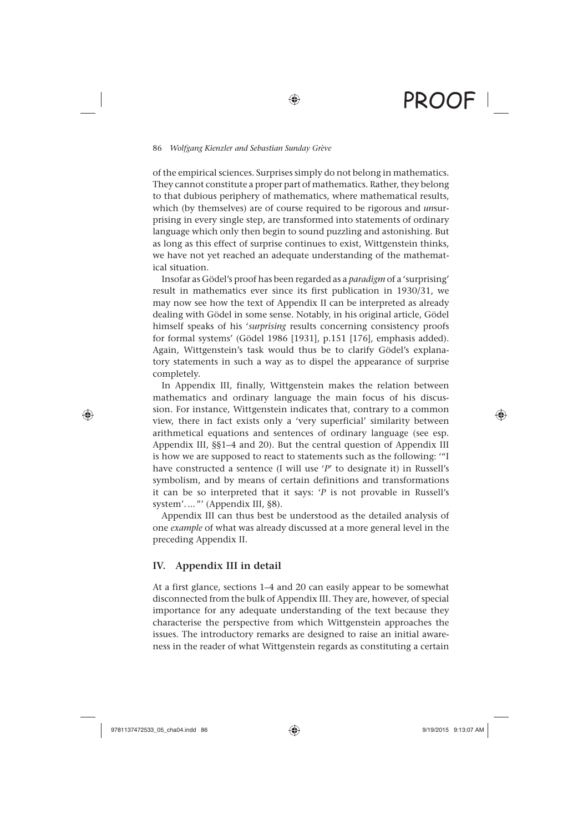of the empirical sciences. Surprises simply do not belong in mathematics. They cannot constitute a proper part of mathematics. Rather, they belong to that dubious periphery of mathematics, where mathematical results, which (by themselves) are of course required to be rigorous and *un* surprising in every single step, are transformed into statements of ordinary language which only then begin to sound puzzling and astonishing. But as long as this effect of surprise continues to exist, Wittgenstein thinks, we have not yet reached an adequate understanding of the mathematical situation.

♠

 Insofar as Gödel's proof has been regarded as a *paradigm* of a 'surprising' result in mathematics ever since its first publication in 1930/31, we may now see how the text of Appendix II can be interpreted as already dealing with Gödel in some sense. Notably, in his original article, Gödel himself speaks of his 'surprising results concerning consistency proofs for formal systems' (Gödel 1986 [1931], p.151 [176], emphasis added). Again, Wittgenstein's task would thus be to clarify Gödel's explanatory statements in such a way as to dispel the appearance of surprise completely.

 In Appendix III, finally, Wittgenstein makes the relation between mathematics and ordinary language the main focus of his discussion. For instance, Wittgenstein indicates that, contrary to a common view, there in fact exists only a 'very superficial' similarity between arithmetical equations and sentences of ordinary language (see esp. Appendix III, §§1–4 and 20). But the central question of Appendix III is how we are supposed to react to statements such as the following: '"I have constructed a sentence (I will use 'P' to designate it) in Russell's symbolism, and by means of certain definitions and transformations it can be so interpreted that it says:  $\Delta P$  is not provable in Russell's system'. ... "' (Appendix III, §8).

 Appendix III can thus best be understood as the detailed analysis of one *example* of what was already discussed at a more general level in the preceding Appendix II.

# **IV. Appendix III in detail**

 At a first glance, sections 1–4 and 20 can easily appear to be somewhat disconnected from the bulk of Appendix III. They are, however, of special importance for any adequate understanding of the text because they characterise the perspective from which Wittgenstein approaches the issues. The introductory remarks are designed to raise an initial awareness in the reader of what Wittgenstein regards as constituting a certain

◈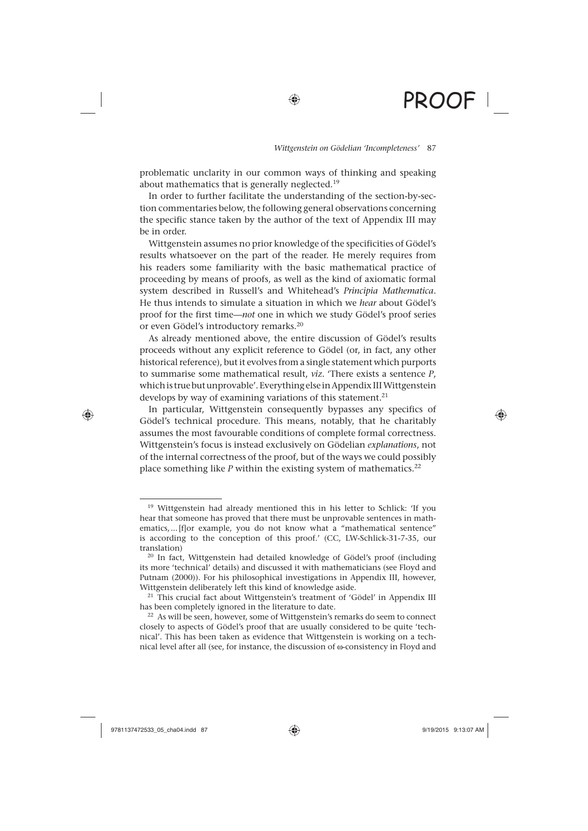problematic unclarity in our common ways of thinking and speaking about mathematics that is generally neglected.<sup>19</sup>

 In order to further facilitate the understanding of the section-by-section commentaries below, the following general observations concerning the specific stance taken by the author of the text of Appendix III may be in order.

 Wittgenstein assumes no prior knowledge of the specificities of Gödel's results whatsoever on the part of the reader. He merely requires from his readers some familiarity with the basic mathematical practice of proceeding by means of proofs, as well as the kind of axiomatic formal system described in Russell's and Whitehead's *Principia Mathematica* . He thus intends to simulate a situation in which we *hear* about Gödel's proof for the first time— *not* one in which we study Gödel's proof series or even Gödel's introductory remarks. <sup>20</sup>

 As already mentioned above, the entire discussion of Gödel's results proceeds without any explicit reference to Gödel (or, in fact, any other historical reference), but it evolves from a single statement which purports to summarise some mathematical result, *viz* . 'There exists a sentence *P* , which is true but unprovable'. Everything else in Appendix III Wittgenstein develops by way of examining variations of this statement.<sup>21</sup>

 In particular, Wittgenstein consequently bypasses any specifics of Gödel's technical procedure. This means, notably, that he charitably assumes the most favourable conditions of complete formal correctness. Wittgenstein's focus is instead exclusively on Gödelian *explanations* , not of the internal correctness of the proof, but of the ways we could possibly place something like *P* within the existing system of mathematics. <sup>22</sup>

◈

♠

<sup>&</sup>lt;sup>19</sup> Wittgenstein had already mentioned this in his letter to Schlick: 'If you hear that someone has proved that there must be unprovable sentences in mathematics, ... [f]or example, you do not know what a "mathematical sentence" is according to the conception of this proof.' (CC, LW-Schlick-31-7-35, our translation)

<sup>&</sup>lt;sup>20</sup> In fact, Wittgenstein had detailed knowledge of Gödel's proof (including its more 'technical' details) and discussed it with mathematicians (see Floyd and Putnam (2000)). For his philosophical investigations in Appendix III, however, Wittgenstein deliberately left this kind of knowledge aside.

<sup>&</sup>lt;sup>21</sup> This crucial fact about Wittgenstein's treatment of 'Gödel' in Appendix III has been completely ignored in the literature to date.

<sup>&</sup>lt;sup>22</sup> As will be seen, however, some of Wittgenstein's remarks do seem to connect closely to aspects of Gödel's proof that are usually considered to be quite 'technical'. This has been taken as evidence that Wittgenstein is working on a technical level after all (see, for instance, the discussion of ω-consistency in Floyd and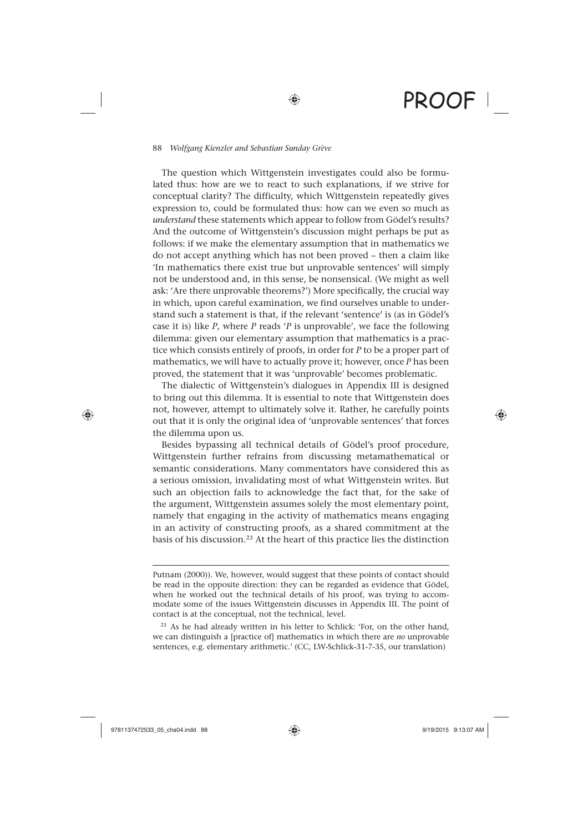The question which Wittgenstein investigates could also be formulated thus: how are we to react to such explanations, if we strive for conceptual clarity? The difficulty, which Wittgenstein repeatedly gives expression to, could be formulated thus: how can we even so much as *understand* these statements which appear to follow from Gödel's results? And the outcome of Wittgenstein's discussion might perhaps be put as follows: if we make the elementary assumption that in mathematics we do not accept anything which has not been proved – then a claim like 'In mathematics there exist true but unprovable sentences' will simply not be understood and, in this sense, be nonsensical. (We might as well ask: 'Are there unprovable theorems?') More specifically, the crucial way in which, upon careful examination, we find ourselves unable to understand such a statement is that, if the relevant 'sentence' is (as in Gödel's case it is) like *P*, where *P* reads '*P* is unprovable', we face the following dilemma: given our elementary assumption that mathematics is a practice which consists entirely of proofs, in order for *P* to be a proper part of mathematics, we will have to actually prove it; however, once *P* has been proved, the statement that it was 'unprovable' becomes problematic.

♠

 The dialectic of Wittgenstein's dialogues in Appendix III is designed to bring out this dilemma. It is essential to note that Wittgenstein does not, however, attempt to ultimately solve it. Rather, he carefully points out that it is only the original idea of 'unprovable sentences' that forces the dilemma upon us.

 Besides bypassing all technical details of Gödel's proof procedure, Wittgenstein further refrains from discussing metamathematical or semantic considerations. Many commentators have considered this as a serious omission, invalidating most of what Wittgenstein writes. But such an objection fails to acknowledge the fact that, for the sake of the argument, Wittgenstein assumes solely the most elementary point, namely that engaging in the activity of mathematics means engaging in an activity of constructing proofs, as a shared commitment at the basis of his discussion. <sup>23</sup> At the heart of this practice lies the distinction

<sup>23</sup> As he had already written in his letter to Schlick: 'For, on the other hand, we can distinguish a [practice of] mathematics in which there are *no* unprovable sentences, e.g. elementary arithmetic.' (CC, LW-Schlick-31-7-35, our translation)

◈

Putnam (2000)). We, however, would suggest that these points of contact should be read in the opposite direction: they can be regarded as evidence that Gödel, when he worked out the technical details of his proof, was trying to accommodate some of the issues Wittgenstein discusses in Appendix III. The point of contact is at the conceptual, not the technical, level.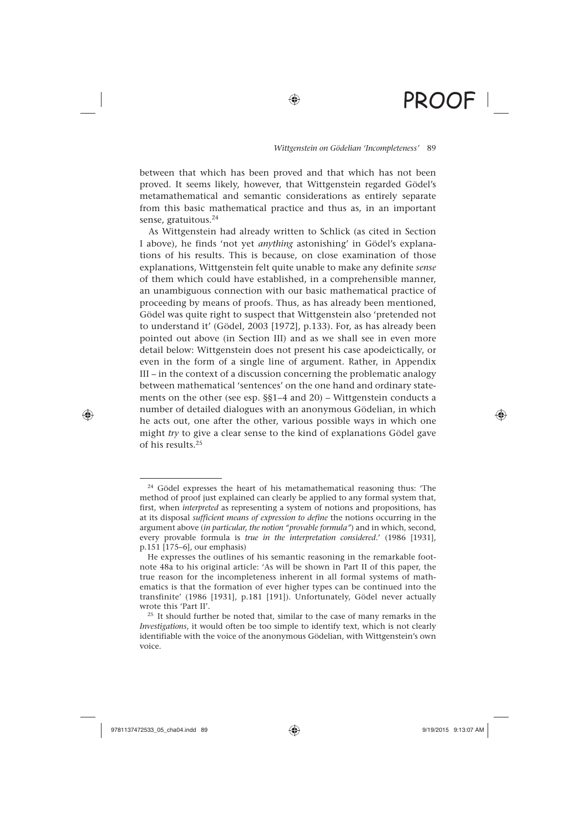#### *Wittgenstein on Gödelian 'Incompleteness'* 89

between that which has been proved and that which has not been proved. It seems likely, however, that Wittgenstein regarded Gödel's metamathematical and semantic considerations as entirely separate from this basic mathematical practice and thus as, in an important sense, gratuitous.<sup>24</sup>

♠

 As Wittgenstein had already written to Schlick (as cited in Section I above), he finds 'not yet *anything* astonishing' in Gödel's explanations of his results. This is because, on close examination of those explanations, Wittgenstein felt quite unable to make any definite *sense* of them which could have established, in a comprehensible manner, an unambiguous connection with our basic mathematical practice of proceeding by means of proofs. Thus, as has already been mentioned, Gödel was quite right to suspect that Wittgenstein also 'pretended not to understand it' (Gödel, 2003 [1972], p.133). For, as has already been pointed out above (in Section III) and as we shall see in even more detail below: Wittgenstein does not present his case apodeictically, or even in the form of a single line of argument. Rather, in Appendix III – in the context of a discussion concerning the problematic analogy between mathematical 'sentences' on the one hand and ordinary statements on the other (see esp. §§1–4 and 20) – Wittgenstein conducts a number of detailed dialogues with an anonymous Gödelian, in which he acts out, one after the other, various possible ways in which one might *try* to give a clear sense to the kind of explanations Gödel gave of his results.<sup>25</sup>

◈

 $24$  Gödel expresses the heart of his metamathematical reasoning thus: 'The method of proof just explained can clearly be applied to any formal system that, first, when *interpreted* as representing a system of notions and propositions, has at its disposal *sufficient means of expression to define* the notions occurring in the argument above (*in particular, the notion "provable formula"*) and in which, second, every provable formula is *true in the interpretation considered*.' (1986 [1931], p.151 [175–6], our emphasis)

He expresses the outlines of his semantic reasoning in the remarkable footnote 48a to his original article: 'As will be shown in Part II of this paper, the true reason for the incompleteness inherent in all formal systems of mathematics is that the formation of ever higher types can be continued into the transfinite' (1986 [1931], p.181 [191]). Unfortunately, Gödel never actually wrote this 'Part II'.

 $25$  It should further be noted that, similar to the case of many remarks in the *Investigations* , it would often be too simple to identify text, which is not clearly identifiable with the voice of the anonymous Gödelian, with Wittgenstein's own voice.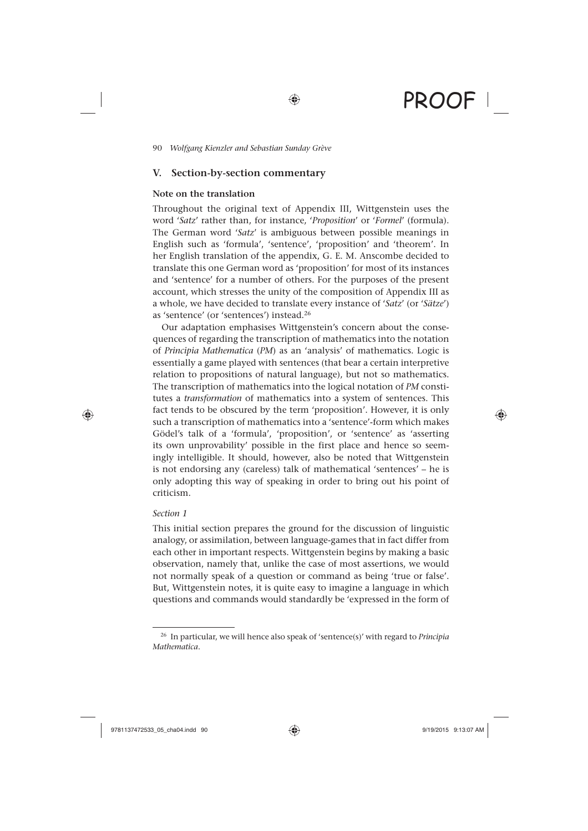## **V. Section-by-section commentary**

### **Note on the translation**

 Throughout the original text of Appendix III, Wittgenstein uses the word 'Satz' rather than, for instance, 'Proposition' or 'Formel' (formula). The German word 'Satz' is ambiguous between possible meanings in English such as 'formula', 'sentence', 'proposition' and 'theorem'. In her English translation of the appendix, G. E. M. Anscombe decided to translate this one German word as 'proposition' for most of its instances and 'sentence' for a number of others. For the purposes of the present account, which stresses the unity of the composition of Appendix III as a whole, we have decided to translate every instance of 'Satz' (or 'Sätze') as 'sentence' (or 'sentences') instead. <sup>26</sup>

♠

 Our adaptation emphasises Wittgenstein's concern about the consequences of regarding the transcription of mathematics into the notation of *Principia Mathematica* (*PM*) as an 'analysis' of mathematics. Logic is essentially a game played with sentences (that bear a certain interpretive relation to propositions of natural language), but not so mathematics. The transcription of mathematics into the logical notation of *PM* constitutes a *transformation* of mathematics into a system of sentences. This fact tends to be obscured by the term 'proposition'. However, it is only such a transcription of mathematics into a 'sentence'-form which makes Gödel's talk of a 'formula', 'proposition', or 'sentence' as 'asserting its own unprovability' possible in the first place and hence so seemingly intelligible. It should, however, also be noted that Wittgenstein is not endorsing any (careless) talk of mathematical 'sentences' – he is only adopting this way of speaking in order to bring out his point of criticism.

### *Section 1*

⊕

 This initial section prepares the ground for the discussion of linguistic analogy, or assimilation, between language-games that in fact differ from each other in important respects. Wittgenstein begins by making a basic observation, namely that, unlike the case of most assertions, we would not normally speak of a question or command as being 'true or false'. But, Wittgenstein notes, it is quite easy to imagine a language in which questions and commands would standardly be 'expressed in the form of

<sup>&</sup>lt;sup>26</sup> In particular, we will hence also speak of 'sentence(s)' with regard to *Principia Mathematica* .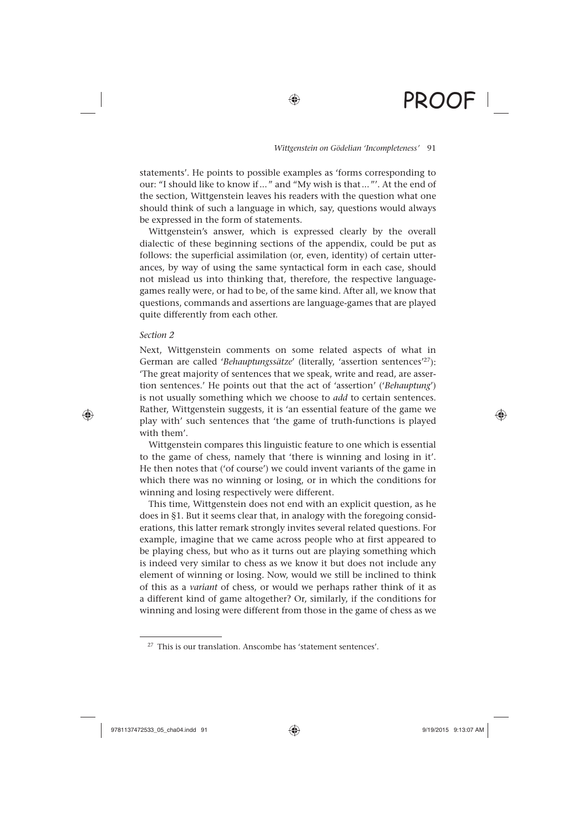statements'. He points to possible examples as 'forms corresponding to our: "I should like to know if ... " and "My wish is that ... "'. At the end of the section, Wittgenstein leaves his readers with the question what one should think of such a language in which, say, questions would always be expressed in the form of statements.

♠

 Wittgenstein's answer, which is expressed clearly by the overall dialectic of these beginning sections of the appendix, could be put as follows: the superficial assimilation (or, even, identity) of certain utterances, by way of using the same syntactical form in each case, should not mislead us into thinking that, therefore, the respective languagegames really were, or had to be, of the same kind. After all, we know that questions, commands and assertions are language-games that are played quite differently from each other.

### *Section 2*

◈

 Next, Wittgenstein comments on some related aspects of what in German are called '*Behauptungssätze'* (literally, 'assertion sentences'<sup>27</sup>): 'The great majority of sentences that we speak, write and read, are assertion sentences.' He points out that the act of 'assertion' ('Behauptung') is not usually something which we choose to *add* to certain sentences. Rather, Wittgenstein suggests, it is 'an essential feature of the game we play with' such sentences that 'the game of truth-functions is played with them'.

 Wittgenstein compares this linguistic feature to one which is essential to the game of chess, namely that 'there is winning and losing in it'. He then notes that ('of course') we could invent variants of the game in which there was no winning or losing, or in which the conditions for winning and losing respectively were different.

 This time, Wittgenstein does not end with an explicit question, as he does in §1. But it seems clear that, in analogy with the foregoing considerations, this latter remark strongly invites several related questions. For example, imagine that we came across people who at first appeared to be playing chess, but who as it turns out are playing something which is indeed very similar to chess as we know it but does not include any element of winning or losing. Now, would we still be inclined to think of this as a *variant* of chess, or would we perhaps rather think of it as a different kind of game altogether? Or, similarly, if the conditions for winning and losing were different from those in the game of chess as we

<sup>&</sup>lt;sup>27</sup> This is our translation. Anscombe has 'statement sentences'.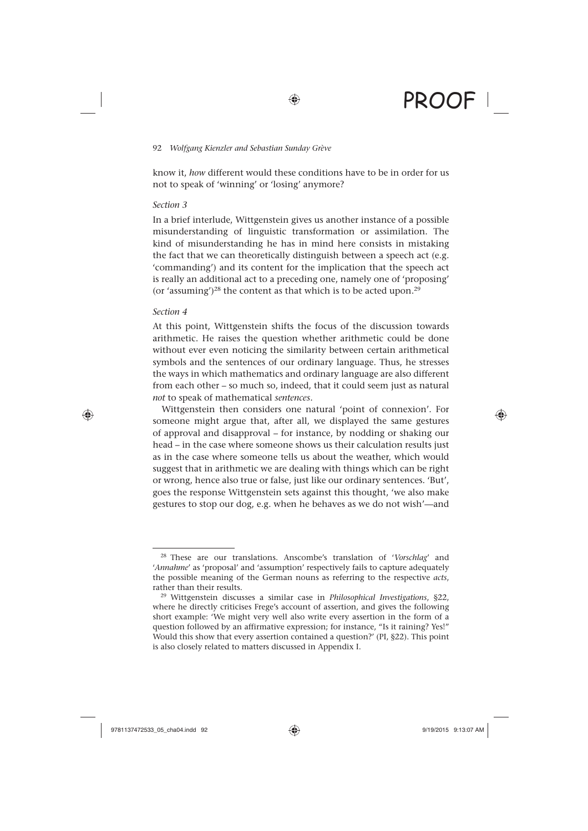know it, *how* different would these conditions have to be in order for us not to speak of 'winning' or 'losing' anymore?

♠

### *Section 3*

 In a brief interlude, Wittgenstein gives us another instance of a possible misunderstanding of linguistic transformation or assimilation. The kind of misunderstanding he has in mind here consists in mistaking the fact that we can theoretically distinguish between a speech act (e.g. 'commanding') and its content for the implication that the speech act is really an additional act to a preceding one, namely one of 'proposing' (or 'assuming')<sup>28</sup> the content as that which is to be acted upon.<sup>29</sup>

## *Section 4*

◈

 At this point, Wittgenstein shifts the focus of the discussion towards arithmetic. He raises the question whether arithmetic could be done without ever even noticing the similarity between certain arithmetical symbols and the sentences of our ordinary language. Thus, he stresses the ways in which mathematics and ordinary language are also different from each other – so much so, indeed, that it could seem just as natural *not* to speak of mathematical *sentences* .

 Wittgenstein then considers one natural 'point of connexion'. For someone might argue that, after all, we displayed the same gestures of approval and disapproval – for instance, by nodding or shaking our head – in the case where someone shows us their calculation results just as in the case where someone tells us about the weather, which would suggest that in arithmetic we are dealing with things which can be right or wrong, hence also true or false, just like our ordinary sentences. 'But', goes the response Wittgenstein sets against this thought, 'we also make gestures to stop our dog, e.g. when he behaves as we do not wish'—and

<sup>&</sup>lt;sup>28</sup> These are our translations. Anscombe's translation of 'Vorschlag' and 'Annahme' as 'proposal' and 'assumption' respectively fails to capture adequately the possible meaning of the German nouns as referring to the respective *acts* , rather than their results.

<sup>&</sup>lt;sup>29</sup> Wittgenstein discusses a similar case in *Philosophical Investigations*, §22, where he directly criticises Frege's account of assertion, and gives the following short example: 'We might very well also write every assertion in the form of a question followed by an affirmative expression; for instance, "Is it raining? Yes!" Would this show that every assertion contained a question?' (PI, §22). This point is also closely related to matters discussed in Appendix I.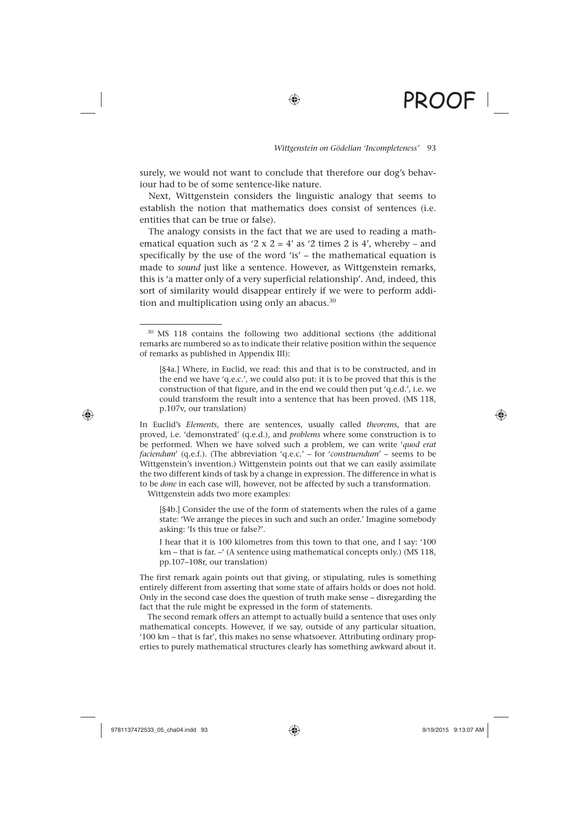surely, we would not want to conclude that therefore our dog's behaviour had to be of some sentence-like nature.

 Next, Wittgenstein considers the linguistic analogy that seems to establish the notion that mathematics does consist of sentences (i.e. entities that can be true or false).

 The analogy consists in the fact that we are used to reading a mathematical equation such as '2 x 2 = 4' as '2 times 2 is 4', whereby – and specifically by the use of the word 'is' – the mathematical equation is made to *sound* just like a sentence. However, as Wittgenstein remarks, this is 'a matter only of a very superficial relationship'. And, indeed, this sort of similarity would disappear entirely if we were to perform addition and multiplication using only an abacus.<sup>30</sup>

In Euclid's *Elements*, there are sentences, usually called *theorems*, that are proved, i.e. 'demonstrated' (q.e.d.), and *problems* where some construction is to be performed. When we have solved such a problem, we can write ' *quod erat faciendum'* (q.e.f.). (The abbreviation 'q.e.c.' – for '*construendum'* – seems to be Wittgenstein's invention.) Wittgenstein points out that we can easily assimilate the two different kinds of task by a change in expression. The difference in what is to be *done* in each case will, however, not be affected by such a transformation. Wittgenstein adds two more examples:

 [§4b.] Consider the use of the form of statements when the rules of a game state: 'We arrange the pieces in such and such an order.' Imagine somebody asking: 'Is this true or false?'.

 I hear that it is 100 kilometres from this town to that one, and I say: '100 km – that is far. –' (A sentence using mathematical concepts only.) (MS 118, pp.107–108r, our translation)

 The first remark again points out that giving, or stipulating, rules is something entirely different from asserting that some state of affairs holds or does not hold. Only in the second case does the question of truth make sense – disregarding the fact that the rule might be expressed in the form of statements.

 The second remark offers an attempt to actually build a sentence that uses only mathematical concepts. However, if we say, outside of any particular situation, '100 km – that is far', this makes no sense whatsoever. Attributing ordinary properties to purely mathematical structures clearly has something awkward about it.

◈

♠

<sup>&</sup>lt;sup>30</sup> MS 118 contains the following two additional sections (the additional remarks are numbered so as to indicate their relative position within the sequence of remarks as published in Appendix III):

 <sup>[§4</sup>a.] Where, in Euclid, we read: this and that is to be constructed, and in the end we have 'q.e.c.', we could also put: it is to be proved that this is the construction of that figure, and in the end we could then put 'q.e.d.', i.e. we could transform the result into a sentence that has been proved. (MS 118, p.107v, our translation)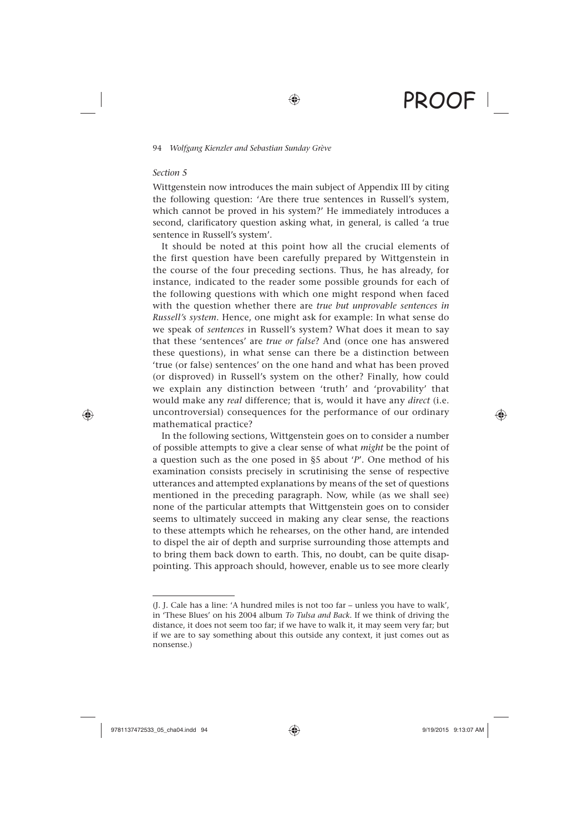#### *Section 5*

◈

 Wittgenstein now introduces the main subject of Appendix III by citing the following question: 'Are there true sentences in Russell's system, which cannot be proved in his system?' He immediately introduces a second, clarificatory question asking what, in general, is called 'a true sentence in Russell's system'.

♠

 It should be noted at this point how all the crucial elements of the first question have been carefully prepared by Wittgenstein in the course of the four preceding sections. Thus, he has already, for instance, indicated to the reader some possible grounds for each of the following questions with which one might respond when faced with the question whether there are *true but unprovable sentences in Russell's system*. Hence, one might ask for example: In what sense do we speak of *sentences* in Russell's system? What does it mean to say that these 'sentences' are *true or false*? And (once one has answered these questions), in what sense can there be a distinction between 'true (or false) sentences' on the one hand and what has been proved (or disproved) in Russell's system on the other? Finally, how could we explain any distinction between 'truth' and 'provability' that would make any *real* difference; that is, would it have any *direct* (i.e. uncontroversial) consequences for the performance of our ordinary mathematical practice?

 In the following sections, Wittgenstein goes on to consider a number of possible attempts to give a clear sense of what *might* be the point of a question such as the one posed in §5 about 'P'. One method of his examination consists precisely in scrutinising the sense of respective utterances and attempted explanations by means of the set of questions mentioned in the preceding paragraph. Now, while (as we shall see) none of the particular attempts that Wittgenstein goes on to consider seems to ultimately succeed in making any clear sense, the reactions to these attempts which he rehearses, on the other hand, are intended to dispel the air of depth and surprise surrounding those attempts and to bring them back down to earth. This, no doubt, can be quite disappointing. This approach should, however, enable us to see more clearly

<sup>(</sup>J. J. Cale has a line: 'A hundred miles is not too far – unless you have to walk', in 'These Blues' on his 2004 album *To Tulsa and Back* . If we think of driving the distance, it does not seem too far; if we have to walk it, it may seem very far; but if we are to say something about this outside any context, it just comes out as nonsense.)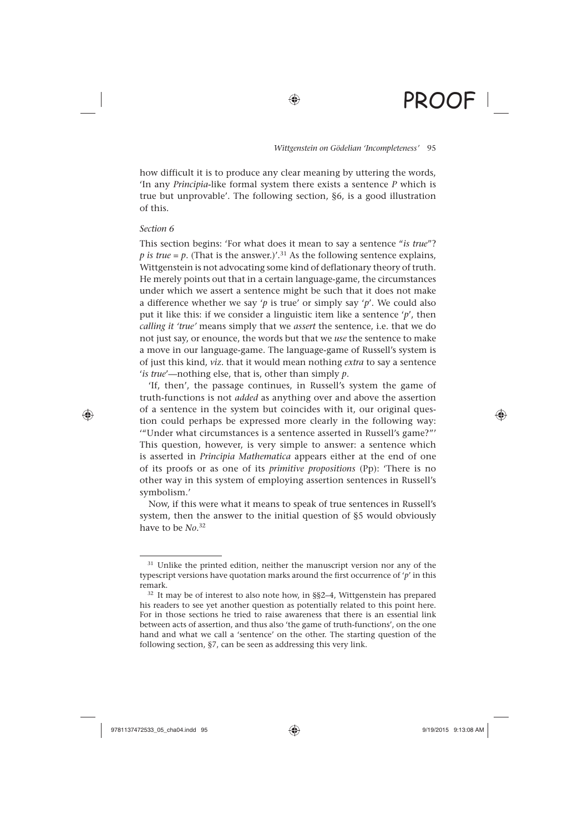how difficult it is to produce any clear meaning by uttering the words, 'In any *Principia* -like formal system there exists a sentence *P* which is true but unprovable'. The following section, §6, is a good illustration of this.

♠

#### *Section 6*

◈

This section begins: 'For what does it mean to say a sentence "is true"? *p* is true =  $p$ . (That is the answer.)'.<sup>31</sup> As the following sentence explains, Wittgenstein is not advocating some kind of deflationary theory of truth. He merely points out that in a certain language-game, the circumstances under which we assert a sentence might be such that it does not make a difference whether we say ' $p$  is true' or simply say ' $p'$ . We could also put it like this: if we consider a linguistic item like a sentence  $p'$ , then *calling it 'true'* means simply that we *assert* the sentence, i.e. that we do not just say, or enounce, the words but that we *use* the sentence to make a move in our language-game. The language-game of Russell's system is of just this kind, *viz* . that it would mean nothing *extra* to say a sentence '*is true*'—nothing else, that is, other than simply *p*.

 'If, then', the passage continues, in Russell's system the game of truth-functions is not *added* as anything over and above the assertion of a sentence in the system but coincides with it, our original question could perhaps be expressed more clearly in the following way: '"Under what circumstances is a sentence asserted in Russell's game?"' This question, however, is very simple to answer: a sentence which is asserted in *Principia Mathematica* appears either at the end of one of its proofs or as one of its *primitive propositions* (Pp): 'There is no other way in this system of employing assertion sentences in Russell's symbolism.'

 Now, if this were what it means to speak of true sentences in Russell's system, then the answer to the initial question of §5 would obviously have to be *No*.<sup>32</sup>

♠

 $31$  Unlike the printed edition, neither the manuscript version nor any of the typescript versions have quotation marks around the first occurrence of 'p' in this remark.

 $32$  It may be of interest to also note how, in §§2–4, Wittgenstein has prepared his readers to see yet another question as potentially related to this point here. For in those sections he tried to raise awareness that there is an essential link between acts of assertion, and thus also 'the game of truth-functions', on the one hand and what we call a 'sentence' on the other. The starting question of the following section, §7, can be seen as addressing this very link.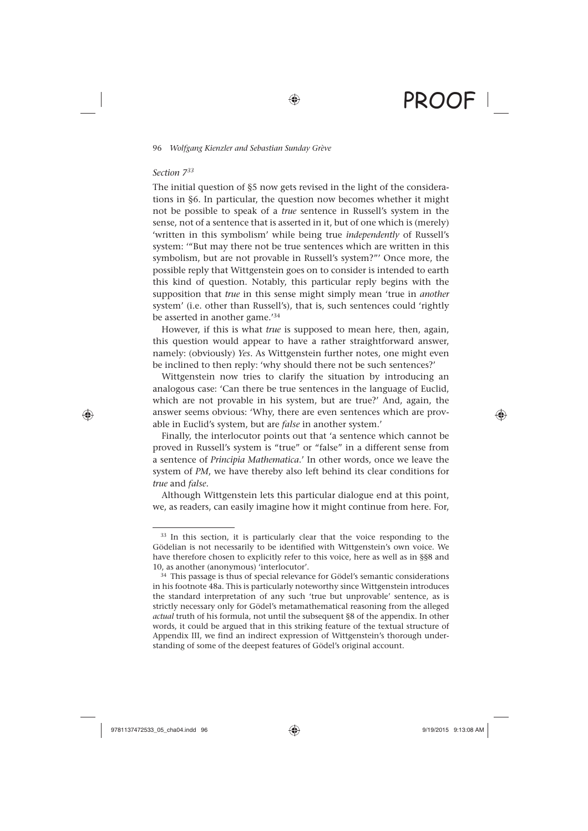### *Section 7 <sup>33</sup>*

◈

 The initial question of §5 now gets revised in the light of the considerations in §6. In particular, the question now becomes whether it might not be possible to speak of a *true* sentence in Russell's system in the sense, not of a sentence that is asserted in it, but of one which is (merely) 'written in this symbolism' while being true *independently* of Russell's system: '"But may there not be true sentences which are written in this symbolism, but are not provable in Russell's system?"' Once more, the possible reply that Wittgenstein goes on to consider is intended to earth this kind of question. Notably, this particular reply begins with the supposition that *true* in this sense might simply mean 'true in *another* system' (i.e. other than Russell's), that is, such sentences could 'rightly be asserted in another game.'<sup>34</sup>

♠

 However, if this is what *true* is supposed to mean here, then, again, this question would appear to have a rather straightforward answer, namely: (obviously) *Yes* . As Wittgenstein further notes, one might even be inclined to then reply: 'why should there not be such sentences?'

 Wittgenstein now tries to clarify the situation by introducing an analogous case: 'Can there be true sentences in the language of Euclid, which are not provable in his system, but are true?' And, again, the answer seems obvious: 'Why, there are even sentences which are provable in Euclid's system, but are *false* in another system.'

 Finally, the interlocutor points out that 'a sentence which cannot be proved in Russell's system is "true" or "false" in a different sense from a sentence of *Principia Mathematica* .' In other words, once we leave the system of *PM*, we have thereby also left behind its clear conditions for *true* and *false* .

 Although Wittgenstein lets this particular dialogue end at this point, we, as readers, can easily imagine how it might continue from here. For, ♠

 $33$  In this section, it is particularly clear that the voice responding to the Gödelian is not necessarily to be identified with Wittgenstein's own voice. We have therefore chosen to explicitly refer to this voice, here as well as in §§8 and 10, as another (anonymous) 'interlocutor'.

<sup>&</sup>lt;sup>34</sup> This passage is thus of special relevance for Gödel's semantic considerations in his footnote 48a. This is particularly noteworthy since Wittgenstein introduces the standard interpretation of any such 'true but unprovable' sentence, as is strictly necessary only for Gödel's metamathematical reasoning from the alleged *actual* truth of his formula, not until the subsequent §8 of the appendix. In other words, it could be argued that in this striking feature of the textual structure of Appendix III, we find an indirect expression of Wittgenstein's thorough understanding of some of the deepest features of Gödel's original account.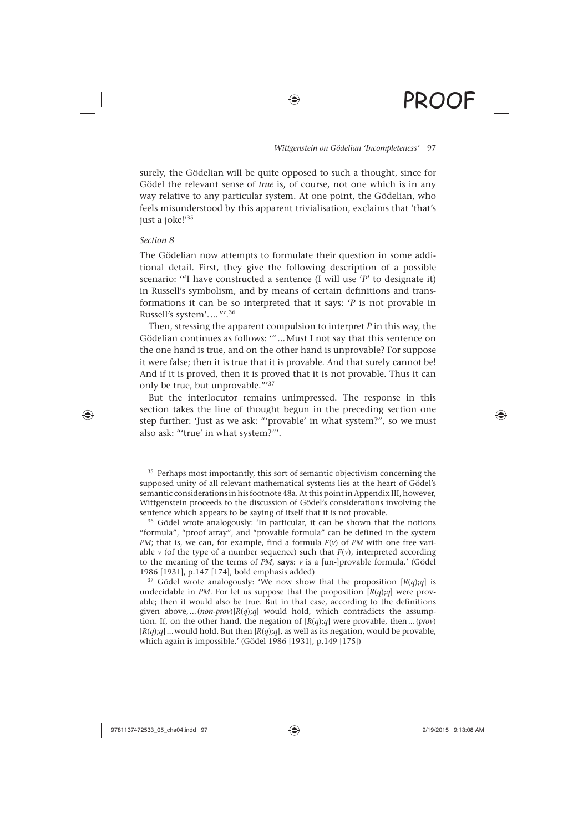surely, the Gödelian will be quite opposed to such a thought, since for Gödel the relevant sense of *true* is, of course, not one which is in any way relative to any particular system. At one point, the Gödelian, who feels misunderstood by this apparent trivialisation, exclaims that 'that's just a joke!'<sup>35</sup>

♠

#### *Section 8*

◈

 The Gödelian now attempts to formulate their question in some additional detail. First, they give the following description of a possible scenario: "I have constructed a sentence (I will use 'P' to designate it) in Russell's symbolism, and by means of certain definitions and transformations it can be so interpreted that it says: 'P is not provable in Russell's system'. ... "'. <sup>36</sup>

 Then, stressing the apparent compulsion to interpret *P* in this way, the Gödelian continues as follows: '" ... Must I not say that this sentence on the one hand is true, and on the other hand is unprovable? For suppose it were false; then it is true that it is provable. And that surely cannot be! And if it is proved, then it is proved that it is not provable. Thus it can only be true, but unprovable."<sup>37</sup>

 But the interlocutor remains unimpressed. The response in this section takes the line of thought begun in the preceding section one step further: 'Just as we ask: "'provable' in what system?", so we must also ask: "'true' in what system?"'.

<sup>&</sup>lt;sup>35</sup> Perhaps most importantly, this sort of semantic objectivism concerning the supposed unity of all relevant mathematical systems lies at the heart of Gödel's semantic considerations in his footnote 48a. At this point in Appendix III, however, Wittgenstein proceeds to the discussion of Gödel's considerations involving the sentence which appears to be saying of itself that it is not provable.

<sup>&</sup>lt;sup>36</sup> Gödel wrote analogously: 'In particular, it can be shown that the notions "formula", "proof array", and "provable formula" can be defined in the system *PM*; that is, we can, for example, find a formula  $F(v)$  of *PM* with one free variable  $\nu$  (of the type of a number sequence) such that  $F(\nu)$ , interpreted according to the meaning of the terms of  $PM$ , says:  $\nu$  is a [un-]provable formula.' (Gödel 1986 [1931], p.147 [174], bold emphasis added)

<sup>&</sup>lt;sup>37</sup> Gödel wrote analogously: 'We now show that the proposition  $[R(q);q]$  is undecidable in *PM*. For let us suppose that the proposition  $[R(q); q]$  were provable; then it would also be true. But in that case, according to the definitions given above, ... (*non-prov*)[ $R(q); q$ ] would hold, which contradicts the assumption. If, on the other hand, the negation of  $[R(q); q]$  were provable, then ... (*prov*)  $[R(q); q]$  ... would hold. But then  $[R(q); q]$ , as well as its negation, would be provable, which again is impossible.' (Gödel 1986 [1931], p.149 [175])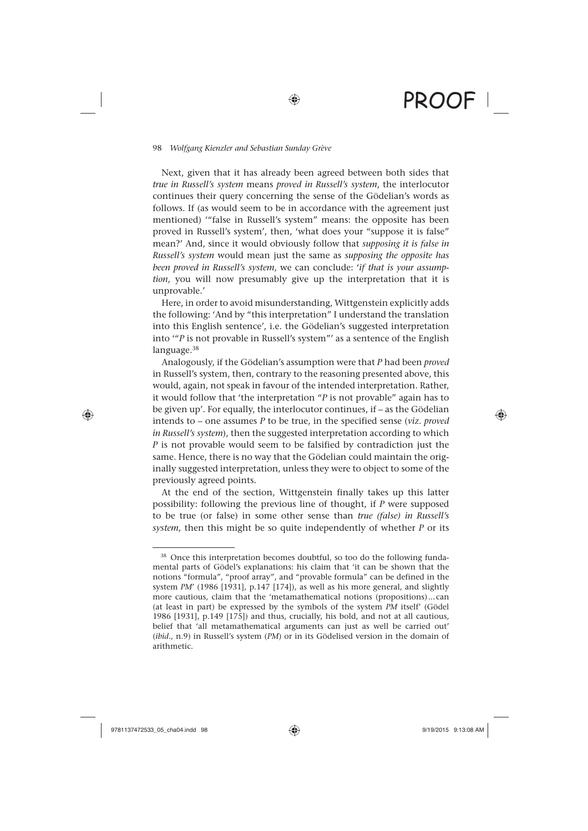Next, given that it has already been agreed between both sides that *true in Russell's system* means *proved in Russell's system* , the interlocutor continues their query concerning the sense of the Gödelian's words as follows. If (as would seem to be in accordance with the agreement just mentioned) '"false in Russell's system" means: the opposite has been proved in Russell's system', then, 'what does your "suppose it is false" mean?' And, since it would obviously follow that *supposing it is false in Russell's system* would mean just the same as *supposing the opposite has*  been proved in Russell's system, we can conclude: 'if that is your assump*tion*, you will now presumably give up the interpretation that it is unprovable.'

♠

 Here, in order to avoid misunderstanding, Wittgenstein explicitly adds the following: 'And by "this interpretation" I understand the translation into this English sentence', i.e. the Gödelian's suggested interpretation into "*P* is not provable in Russell's system"' as a sentence of the English language.<sup>38</sup>

 Analogously, if the Gödelian's assumption were that *P* had been *proved* in Russell's system, then, contrary to the reasoning presented above, this would, again, not speak in favour of the intended interpretation. Rather, it would follow that 'the interpretation "*P* is not provable" again has to be given up'. For equally, the interlocutor continues, if – as the Gödelian intends to – one assumes *P* to be true, in the specified sense (*viz. proved in Russell's system*), then the suggested interpretation according to which *P* is not provable would seem to be falsified by contradiction just the same. Hence, there is no way that the Gödelian could maintain the originally suggested interpretation, unless they were to object to some of the previously agreed points.

 At the end of the section, Wittgenstein finally takes up this latter possibility: following the previous line of thought, if *P* were supposed to be true (or false) in some other sense than *true (false) in Russell's system* , then this might be so quite independently of whether *P* or its

◈

<sup>&</sup>lt;sup>38</sup> Once this interpretation becomes doubtful, so too do the following fundamental parts of Gödel's explanations: his claim that 'it can be shown that the notions "formula", "proof array", and "provable formula" can be defined in the system PM' (1986 [1931], p.147 [174]), as well as his more general, and slightly more cautious, claim that the 'metamathematical notions (propositions) ... can (at least in part) be expressed by the symbols of the system *PM* itself' (Gödel 1986 [1931], p.149 [175]) and thus, crucially, his bold, and not at all cautious, belief that 'all metamathematical arguments can just as well be carried out' (*ibid.*, n.9) in Russell's system (*PM*) or in its Gödelised version in the domain of arithmetic.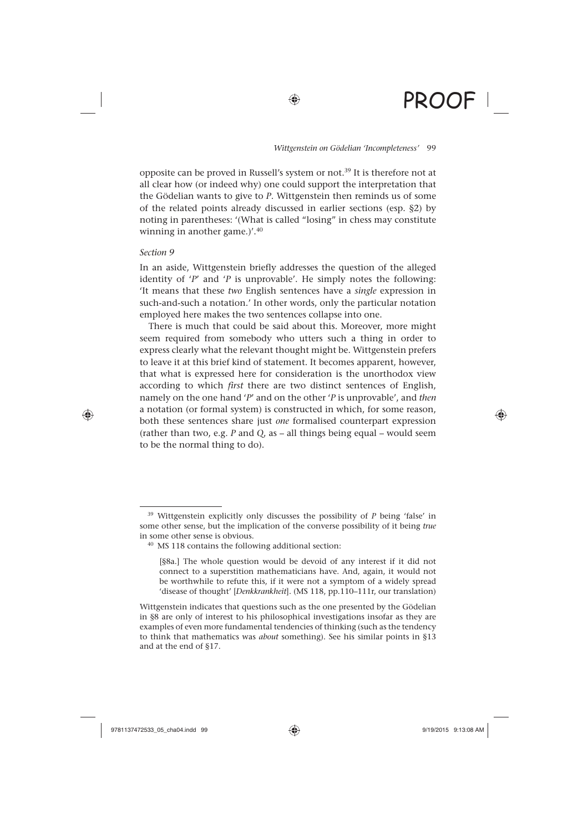#### *Wittgenstein on Gödelian 'Incompleteness'* 99

opposite can be proved in Russell's system or not. <sup>39</sup> It is therefore not at all clear how (or indeed why) one could support the interpretation that the Gödelian wants to give to *P*. Wittgenstein then reminds us of some of the related points already discussed in earlier sections (esp. §2) by noting in parentheses: '(What is called "losing" in chess may constitute winning in another game.)'.<sup>40</sup>

♠

#### *Section 9*

◈

 In an aside, Wittgenstein briefly addresses the question of the alleged identity of  $'P'$  and  $'P$  is unprovable'. He simply notes the following: 'It means that these *two* English sentences have a *single* expression in such-and-such a notation.' In other words, only the particular notation employed here makes the two sentences collapse into one.

 There is much that could be said about this. Moreover, more might seem required from somebody who utters such a thing in order to express clearly what the relevant thought might be. Wittgenstein prefers to leave it at this brief kind of statement. It becomes apparent, however, that what is expressed here for consideration is the unorthodox view according to which *first* there are two distinct sentences of English, namely on the one hand 'P' and on the other 'P is unprovable', and *then* a notation (or formal system) is constructed in which, for some reason, both these sentences share just *one* formalised counterpart expression (rather than two, e.g. *P* and *Q* , as – all things being equal – would seem to be the normal thing to do).

<sup>39</sup>Wittgenstein explicitly only discusses the possibility of *P* being 'false' in some other sense, but the implication of the converse possibility of it being *true* in some other sense is obvious.

<sup>40</sup>MS 118 contains the following additional section:

 <sup>[§8</sup>a.] The whole question would be devoid of any interest if it did not connect to a superstition mathematicians have. And, again, it would not be worthwhile to refute this, if it were not a symptom of a widely spread 'disease of thought' [*Denkkrankheit*]. (MS 118, pp.110–111r, our translation)

Wittgenstein indicates that questions such as the one presented by the Gödelian in §8 are only of interest to his philosophical investigations insofar as they are examples of even more fundamental tendencies of thinking (such as the tendency to think that mathematics was *about* something). See his similar points in §13 and at the end of §17.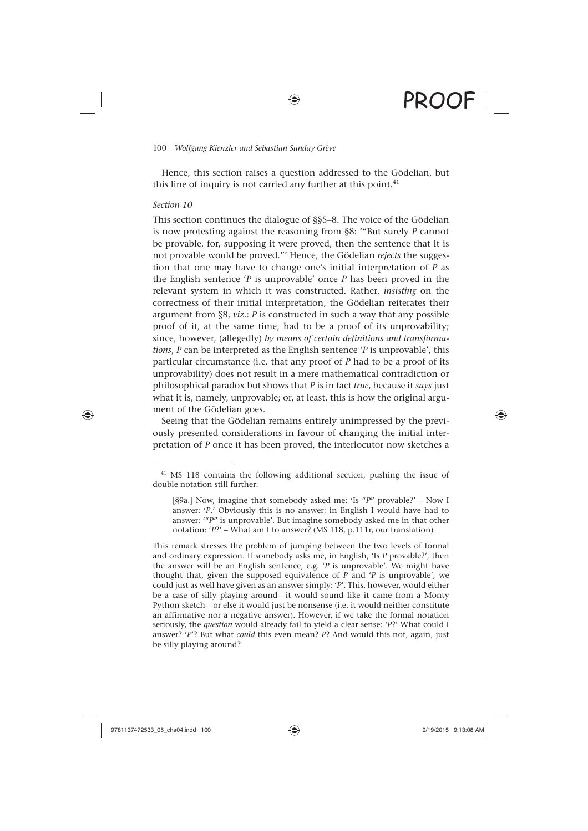Hence, this section raises a question addressed to the Gödelian, but this line of inquiry is not carried any further at this point. $41$ 

♠

### *Section 10*

◈

 This section continues the dialogue of §§5–8. The voice of the Gödelian is now protesting against the reasoning from §8: '"But surely *P* cannot be provable, for, supposing it were proved, then the sentence that it is not provable would be proved."' Hence, the Gödelian *rejects* the suggestion that one may have to change one's initial interpretation of *P* as the English sentence  $\langle P \rangle$  is unprovable' once  $P$  has been proved in the relevant system in which it was constructed. Rather, *insisting* on the correctness of their initial interpretation, the Gödelian reiterates their argument from  $\S 8$ , *viz*.: *P* is constructed in such a way that any possible proof of it, at the same time, had to be a proof of its unprovability; since, however, (allegedly) *by means of certain definitions and transformations*, *P* can be interpreted as the English sentence '*P* is unprovable', this particular circumstance (i.e. that any proof of *P* had to be a proof of its unprovability) does not result in a mere mathematical contradiction or philosophical paradox but shows that *P* is in fact *true* , because it *says* just what it is, namely, unprovable; or, at least, this is how the original argument of the Gödelian goes.

 Seeing that the Gödelian remains entirely unimpressed by the previously presented considerations in favour of changing the initial interpretation of *P* once it has been proved, the interlocutor now sketches a

<sup>&</sup>lt;sup>41</sup> MS 118 contains the following additional section, pushing the issue of double notation still further:

<sup>[§9</sup>a.] Now, imagine that somebody asked me: 'Is "P" provable?' – Now I answer: 'P.' Obviously this is no answer; in English I would have had to answer: "P" is unprovable'. But imagine somebody asked me in that other notation: 'P?' – What am I to answer? (MS 118, p.111r, our translation)

This remark stresses the problem of jumping between the two levels of formal and ordinary expression. If somebody asks me, in English, 'Is *P* provable?', then the answer will be an English sentence, e.g. 'P is unprovable'. We might have thought that, given the supposed equivalence of  $P$  and  $\Delta P$  is unprovable', we could just as well have given as an answer simply: 'P'. This, however, would either be a case of silly playing around—it would sound like it came from a Monty Python sketch—or else it would just be nonsense (i.e. it would neither constitute an affirmative nor a negative answer). However, if we take the formal notation seriously, the *question* would already fail to yield a clear sense: 'P?' What could I answer? 'P'? But what *could* this even mean? P? And would this not, again, just be silly playing around?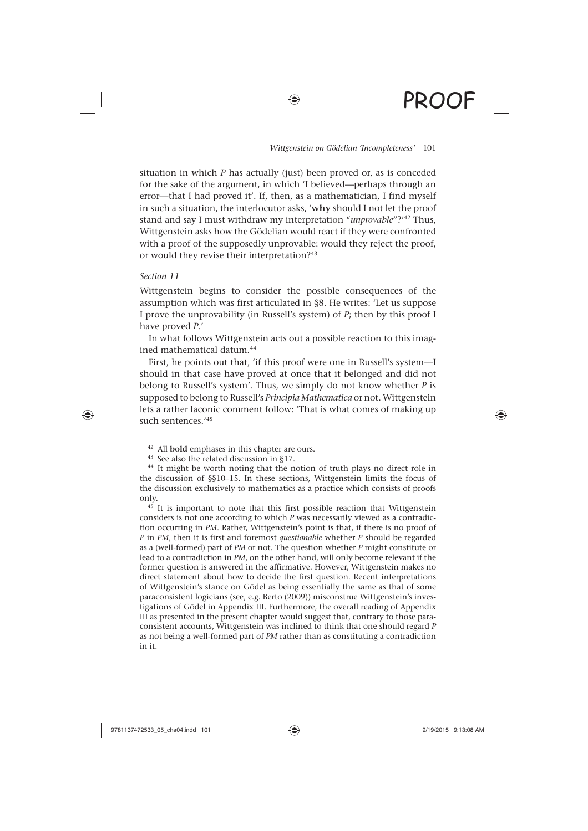#### *Wittgenstein on Gödelian 'Incompleteness'* 101

situation in which *P* has actually (just) been proved or, as is conceded for the sake of the argument, in which 'I believed—perhaps through an error—that I had proved it'. If, then, as a mathematician, I find myself in such a situation, the interlocutor asks, ' **why** should I not let the proof stand and say I must withdraw my interpretation "*unprovable*"?<sup>42</sup> Thus, Wittgenstein asks how the Gödelian would react if they were confronted with a proof of the supposedly unprovable: would they reject the proof, or would they revise their interpretation?<sup>43</sup>

♠

### *Section 11*

◈

 Wittgenstein begins to consider the possible consequences of the assumption which was first articulated in §8. He writes: 'Let us suppose I prove the unprovability (in Russell's system) of *P*; then by this proof I have proved *P* .'

 In what follows Wittgenstein acts out a possible reaction to this imagined mathematical datum. <sup>44</sup>

 First, he points out that, 'if this proof were one in Russell's system—I should in that case have proved at once that it belonged and did not belong to Russell's system'. Thus, we simply do not know whether *P* is supposed to belong to Russell's *Principia Mathematica* or not. Wittgenstein lets a rather laconic comment follow: 'That is what comes of making up such sentences.<sup>'45</sup>

<sup>&</sup>lt;sup>42</sup> All **bold** emphases in this chapter are ours.

 $^{43}$  See also the related discussion in §17.

<sup>&</sup>lt;sup>44</sup> It might be worth noting that the notion of truth plays no direct role in the discussion of §§10–15. In these sections, Wittgenstein limits the focus of the discussion exclusively to mathematics as a practice which consists of proofs only.

 $45$  It is important to note that this first possible reaction that Wittgenstein considers is not one according to which *P* was necessarily viewed as a contradiction occurring in *PM*. Rather, Wittgenstein's point is that, if there is no proof of *P* in *PM* , then it is first and foremost *questionable* whether *P* should be regarded as a (well-formed) part of *PM* or not. The question whether *P* might constitute or lead to a contradiction in *PM* , on the other hand, will only become relevant if the former question is answered in the affirmative. However, Wittgenstein makes no direct statement about how to decide the first question. Recent interpretations of Wittgenstein's stance on Gödel as being essentially the same as that of some paraconsistent logicians (see, e.g. Berto (2009)) misconstrue Wittgenstein's investigations of Gödel in Appendix III. Furthermore, the overall reading of Appendix III as presented in the present chapter would suggest that, contrary to those paraconsistent accounts, Wittgenstein was inclined to think that one should regard *P* as not being a well-formed part of *PM* rather than as constituting a contradiction in it.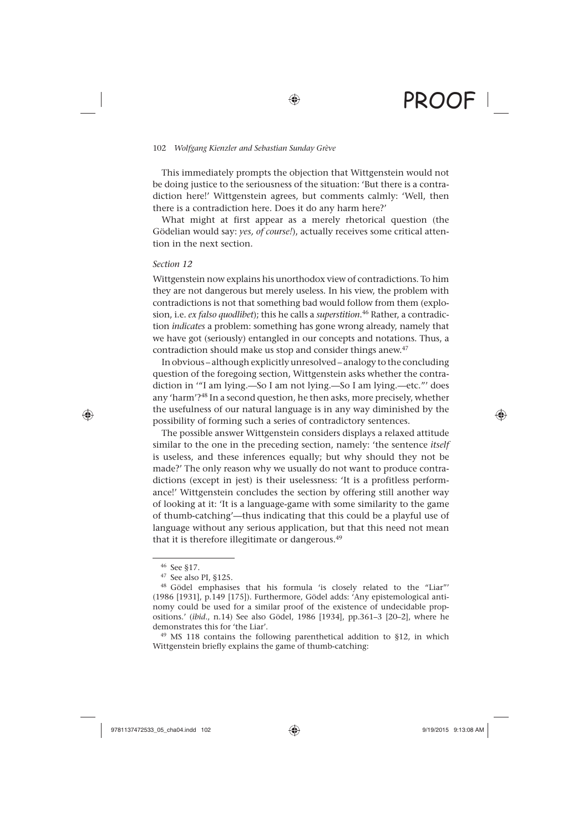This immediately prompts the objection that Wittgenstein would not be doing justice to the seriousness of the situation: 'But there is a contradiction here!' Wittgenstein agrees, but comments calmly: 'Well, then there is a contradiction here. Does it do any harm here?'

♠

 What might at first appear as a merely rhetorical question (the Gödelian would say: *yes, of course!*), actually receives some critical attention in the next section.

### *Section 12*

◈

 Wittgenstein now explains his unorthodox view of contradictions. To him they are not dangerous but merely useless. In his view, the problem with contradictions is not that something bad would follow from them (explosion, i.e. *ex falso quodlibet* ); this he calls a *superstition* . 46 Rather, a contradiction *indicates* a problem: something has gone wrong already, namely that we have got (seriously) entangled in our concepts and notations. Thus, a contradiction should make us stop and consider things anew.<sup>47</sup>

 In obvious – although explicitly unresolved – analogy to the concluding question of the foregoing section, Wittgenstein asks whether the contradiction in '"I am lying.—So I am not lying.—So I am lying.—etc."' does any 'harm'? <sup>48</sup> In a second question, he then asks, more precisely, whether the usefulness of our natural language is in any way diminished by the possibility of forming such a series of contradictory sentences.

 The possible answer Wittgenstein considers displays a relaxed attitude similar to the one in the preceding section, namely: 'the sentence *itself* is useless, and these inferences equally; but why should they not be made?' The only reason why we usually do not want to produce contradictions (except in jest) is their uselessness: 'It is a profitless performance!' Wittgenstein concludes the section by offering still another way of looking at it: 'It is a language-game with some similarity to the game of thumb-catching'—thus indicating that this could be a playful use of language without any serious application, but that this need not mean that it is therefore illegitimate or dangerous. <sup>49</sup>

<sup>&</sup>lt;sup>46</sup> See §17.

<sup>&</sup>lt;sup>47</sup> See also PI, §125.

<sup>48</sup>Gödel emphasises that his formula 'is closely related to the "Liar"' (1986 [1931], p.149 [175]). Furthermore, Gödel adds: 'Any epistemological antinomy could be used for a similar proof of the existence of undecidable propositions.' (*ibid.*, n.14) See also Gödel, 1986 [1934], pp.361-3 [20-2], where he demonstrates this for 'the Liar'.

<sup>&</sup>lt;sup>49</sup> MS 118 contains the following parenthetical addition to §12, in which Wittgenstein briefly explains the game of thumb-catching: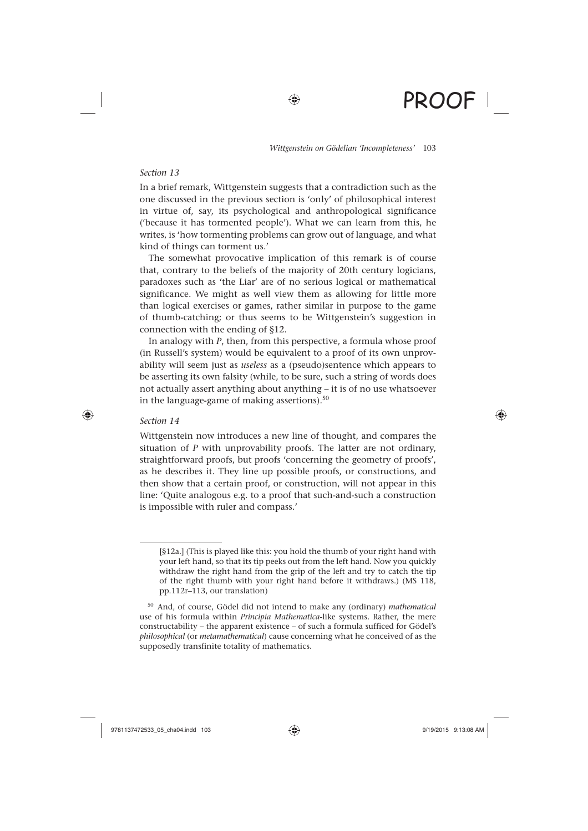### *Section 13*

 In a brief remark, Wittgenstein suggests that a contradiction such as the one discussed in the previous section is 'only' of philosophical interest in virtue of, say, its psychological and anthropological significance ('because it has tormented people'). What we can learn from this, he writes, is 'how tormenting problems can grow out of language, and what kind of things can torment us.'

♠

 The somewhat provocative implication of this remark is of course that, contrary to the beliefs of the majority of 20th century logicians, paradoxes such as 'the Liar' are of no serious logical or mathematical significance. We might as well view them as allowing for little more than logical exercises or games, rather similar in purpose to the game of thumb-catching; or thus seems to be Wittgenstein's suggestion in connection with the ending of §12.

In analogy with *P*, then, from this perspective, a formula whose proof (in Russell's system) would be equivalent to a proof of its own unprovability will seem just as *useless* as a (pseudo)sentence which appears to be asserting its own falsity (while, to be sure, such a string of words does not actually assert anything about anything – it is of no use whatsoever in the language-game of making assertions). <sup>50</sup>

#### *Section 14*

◈

 Wittgenstein now introduces a new line of thought, and compares the situation of *P* with unprovability proofs. The latter are not ordinary, straightforward proofs, but proofs 'concerning the geometry of proofs', as he describes it. They line up possible proofs, or constructions, and then show that a certain proof, or construction, will not appear in this line: 'Quite analogous e.g. to a proof that such-and-such a construction is impossible with ruler and compass.'

♠

 <sup>[§12</sup>a.] (This is played like this: you hold the thumb of your right hand with your left hand, so that its tip peeks out from the left hand. Now you quickly withdraw the right hand from the grip of the left and try to catch the tip of the right thumb with your right hand before it withdraws.) (MS 118, pp.112r–113, our translation)

<sup>50</sup>And, of course, Gödel did not intend to make any (ordinary) *mathematical* use of his formula within *Principia Mathematica* -like systems. Rather, the mere constructability – the apparent existence – of such a formula sufficed for Gödel's *philosophical* (or *metamathematical* ) cause concerning what he conceived of as the supposedly transfinite totality of mathematics.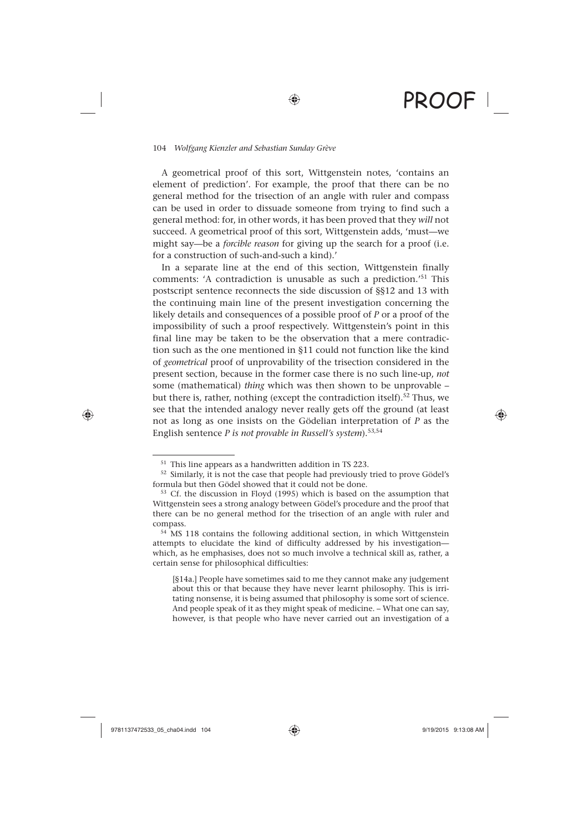A geometrical proof of this sort, Wittgenstein notes, 'contains an element of prediction'. For example, the proof that there can be no general method for the trisection of an angle with ruler and compass can be used in order to dissuade someone from trying to find such a general method: for, in other words, it has been proved that they *will* not succeed. A geometrical proof of this sort, Wittgenstein adds, 'must—we might say—be a *forcible reason* for giving up the search for a proof (i.e. for a construction of such-and-such a kind).'

♠

 In a separate line at the end of this section, Wittgenstein finally comments: 'A contradiction is unusable as such a prediction.'<sup>51</sup> This postscript sentence reconnects the side discussion of §§12 and 13 with the continuing main line of the present investigation concerning the likely details and consequences of a possible proof of *P* or a proof of the impossibility of such a proof respectively. Wittgenstein's point in this final line may be taken to be the observation that a mere contradiction such as the one mentioned in §11 could not function like the kind of *geometrical* proof of unprovability of the trisection considered in the present section, because in the former case there is no such line-up, *not* some (mathematical) *thing* which was then shown to be unprovable – but there is, rather, nothing (except the contradiction itself).<sup>52</sup> Thus, we see that the intended analogy never really gets off the ground (at least not as long as one insists on the Gödelian interpretation of *P* as the English sentence *P* is not provable in Russell's system).<sup>53,54</sup>

◈

 $51$  This line appears as a handwritten addition in TS 223.

<sup>&</sup>lt;sup>52</sup> Similarly, it is not the case that people had previously tried to prove Gödel's formula but then Gödel showed that it could not be done.

<sup>&</sup>lt;sup>53</sup> Cf. the discussion in Floyd (1995) which is based on the assumption that Wittgenstein sees a strong analogy between Gödel's procedure and the proof that there can be no general method for the trisection of an angle with ruler and compass.

<sup>&</sup>lt;sup>54</sup> MS 118 contains the following additional section, in which Wittgenstein attempts to elucidate the kind of difficulty addressed by his investigation which, as he emphasises, does not so much involve a technical skill as, rather, a certain sense for philosophical difficulties:

 <sup>[§14</sup>a.] People have sometimes said to me they cannot make any judgement about this or that because they have never learnt philosophy. This is irritating nonsense, it is being assumed that philosophy is some sort of science. And people speak of it as they might speak of medicine. – What one can say, however, is that people who have never carried out an investigation of a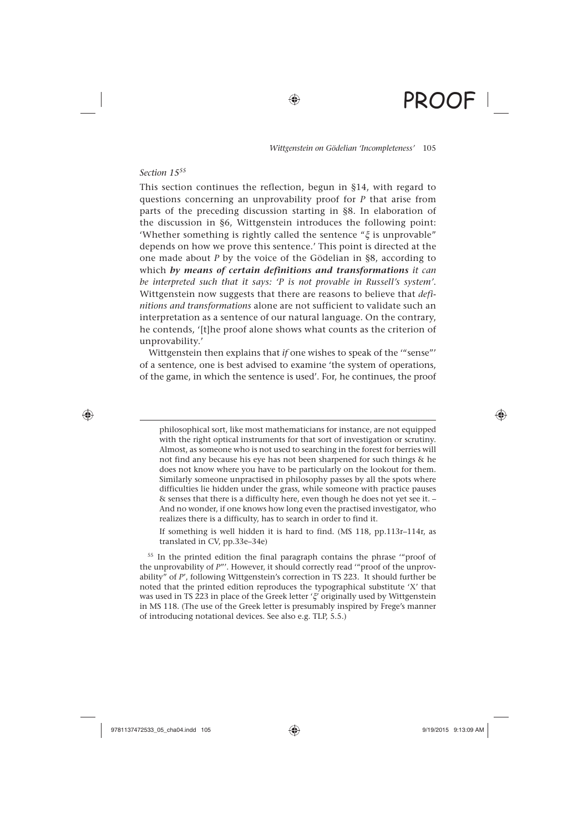# *Section 15 <sup>55</sup>*

⊕

 This section continues the reflection, begun in §14, with regard to questions concerning an unprovability proof for *P* that arise from parts of the preceding discussion starting in §8. In elaboration of the discussion in §6, Wittgenstein introduces the following point: 'Whether something is rightly called the sentence "*ξ* is unprovable" depends on how we prove this sentence.' This point is directed at the one made about *P* by the voice of the Gödelian in §8, according to which **by means of certain definitions and transformations** *it can be interpreted such that it says: 'P is not provable in Russell's system'* . Wittgenstein now suggests that there are reasons to believe that *definitions and transformations* alone are not sufficient to validate such an interpretation as a sentence of our natural language. On the contrary, he contends, '[t]he proof alone shows what counts as the criterion of unprovability.'

♠

 Wittgenstein then explains that *if* one wishes to speak of the '"sense"' of a sentence, one is best advised to examine 'the system of operations, of the game, in which the sentence is used'. For, he continues, the proof

philosophical sort, like most mathematicians for instance, are not equipped with the right optical instruments for that sort of investigation or scrutiny. Almost, as someone who is not used to searching in the forest for berries will not find any because his eye has not been sharpened for such things & he does not know where you have to be particularly on the lookout for them. Similarly someone unpractised in philosophy passes by all the spots where difficulties lie hidden under the grass, while someone with practice pauses & senses that there is a difficulty here, even though he does not yet see it. – And no wonder, if one knows how long even the practised investigator, who realizes there is a difficulty, has to search in order to find it.

 If something is well hidden it is hard to find. (MS 118, pp.113r–114r, as translated in CV, pp.33e–34e)

<sup>55</sup> In the printed edition the final paragraph contains the phrase "proof of the unprovability of P"'. However, it should correctly read "proof of the unprovability" of P', following Wittgenstein's correction in TS 223. It should further be noted that the printed edition reproduces the typographical substitute 'X' that was used in TS 223 in place of the Greek letter '*ξ*' originally used by Wittgenstein in MS 118. (The use of the Greek letter is presumably inspired by Frege's manner of introducing notational devices. See also e.g. TLP, 5.5.)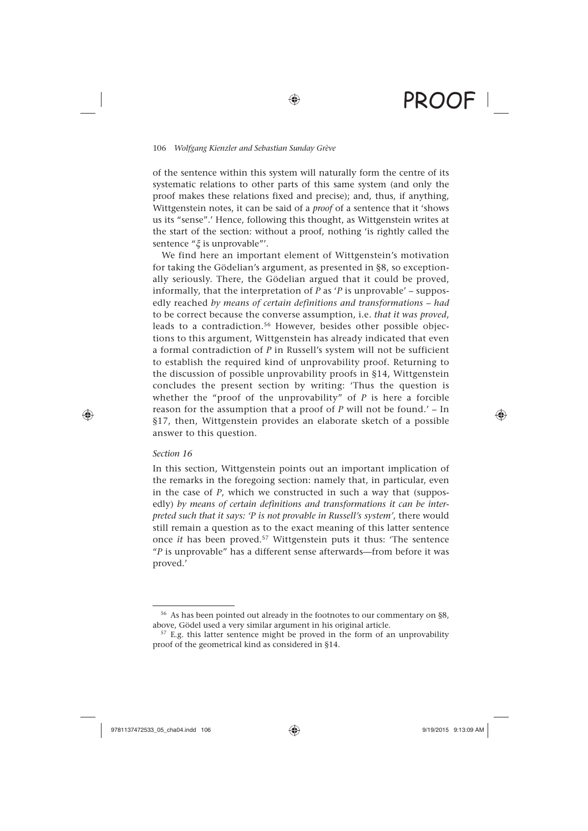of the sentence within this system will naturally form the centre of its systematic relations to other parts of this same system (and only the proof makes these relations fixed and precise); and, thus, if anything, Wittgenstein notes, it can be said of a *proof* of a sentence that it 'shows us its "sense".' Hence, following this thought, as Wittgenstein writes at the start of the section: without a proof, nothing 'is rightly called the sentence "ξ is unprovable"'.

♠

 We find here an important element of Wittgenstein's motivation for taking the Gödelian's argument, as presented in §8, so exceptionally seriously. There, the Gödelian argued that it could be proved, informally, that the interpretation of  $P$  as  $\prime P$  is unprovable' – supposedly reached *by means of certain definitions and transformations* – *had* to be correct because the converse assumption, i.e. *that it was proved* , leads to a contradiction.<sup>56</sup> However, besides other possible objections to this argument, Wittgenstein has already indicated that even a formal contradiction of *P* in Russell's system will not be sufficient to establish the required kind of unprovability proof. Returning to the discussion of possible unprovability proofs in §14, Wittgenstein concludes the present section by writing: 'Thus the question is whether the "proof of the unprovability" of *P* is here a forcible reason for the assumption that a proof of *P* will not be found.' – In §17, then, Wittgenstein provides an elaborate sketch of a possible answer to this question.

#### *Section 16*

⊕

 In this section, Wittgenstein points out an important implication of the remarks in the foregoing section: namely that, in particular, even in the case of *P*, which we constructed in such a way that (supposedly) *by means of certain definitions and transformations it can be interpreted such that it says: 'P is not provable in Russell's system'* , there would still remain a question as to the exact meaning of this latter sentence once *it* has been proved.<sup>57</sup> Wittgenstein puts it thus: 'The sentence "P is unprovable" has a different sense afterwards—from before it was proved.'

 $56$  As has been pointed out already in the footnotes to our commentary on §8, above, Gödel used a very similar argument in his original article.

<sup>&</sup>lt;sup>57</sup> E.g. this latter sentence might be proved in the form of an unprovability proof of the geometrical kind as considered in §14.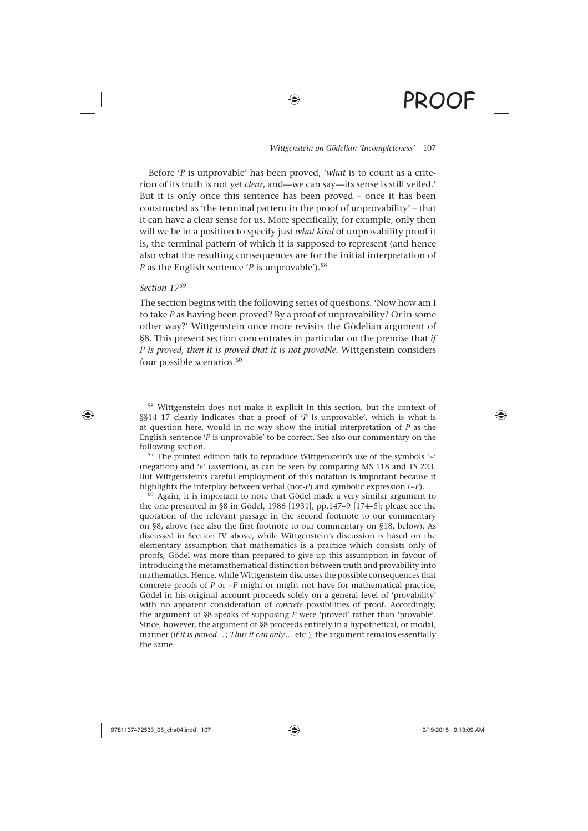Before 'P is unprovable' has been proved, 'what is to count as a criterion of its truth is not yet *clear* , and—we can say—its sense is still veiled.' But it is only once this sentence has been proved – once it has been constructed as 'the terminal pattern in the proof of unprovability' – that it can have a clear sense for us. More specifically, for example, only then will we be in a position to specify just *what kind* of unprovability proof it is, the terminal pattern of which it is supposed to represent (and hence also what the resulting consequences are for the initial interpretation of *P* as the English sentence '*P* is unprovable').<sup>58</sup>

♠

### *Section 17 <sup>59</sup>*

⊕

 The section begins with the following series of questions: 'Now how am I to take *P* as having been proved? By a proof of unprovability? Or in some other way?' Wittgenstein once more revisits the Gödelian argument of §8. This present section concentrates in particular on the premise that *if P is proved, then it is proved that it is not provable* . Wittgenstein considers four possible scenarios.<sup>60</sup>

<sup>&</sup>lt;sup>58</sup> Wittgenstein does not make it explicit in this section, but the context of §§14-17 clearly indicates that a proof of 'P is unprovable', which is what is at question here, would in no way show the initial interpretation of *P* as the English sentence 'P is unprovable' to be correct. See also our commentary on the following section.

 $59$  The printed edition fails to reproduce Wittgenstein's use of the symbols '~' (negation) and  $\prime$  - (assertion), as can be seen by comparing MS 118 and TS 223. But Wittgenstein's careful employment of this notation is important because it highlights the interplay between verbal (not-*P*) and symbolic expression  $(-P)$ .

 $60$  Again, it is important to note that Gödel made a very similar argument to the one presented in §8 in Gödel, 1986 [1931], pp.147–9 [174–5]; please see the quotation of the relevant passage in the second footnote to our commentary on §8, above (see also the first footnote to our commentary on §18, below). As discussed in Section IV above, while Wittgenstein's discussion is based on the elementary assumption that mathematics is a practice which consists only of proofs, Gödel was more than prepared to give up this assumption in favour of introducing the metamathematical distinction between truth and provability into mathematics. Hence, while Wittgenstein discusses the possible consequences that concrete proofs of *P* or ~*P* might or might not have for mathematical practice, Gödel in his original account proceeds solely on a general level of 'provability' with no apparent consideration of *concrete* possibilities of proof. Accordingly, the argument of §8 speaks of supposing *P* were 'proved' rather than 'provable'. Since, however, the argument of §8 proceeds entirely in a hypothetical, or modal, manner (*if it is proved ...*; *Thus it can only ...* etc.), the argument remains essentially the same.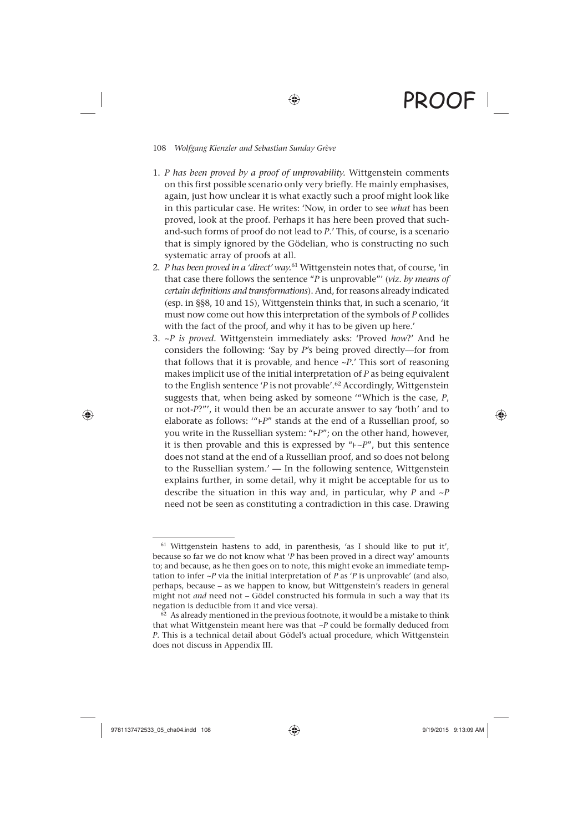#### 108 *Wolfgang Kienzler and Sebastian Sunday Grève*

 1. *P has been proved by a proof of unprovability.* Wittgenstein comments on this first possible scenario only very briefly. He mainly emphasises, again, just how unclear it is what exactly such a proof might look like in this particular case. He writes: 'Now, in order to see *what* has been proved, look at the proof. Perhaps it has here been proved that suchand-such forms of proof do not lead to *P*.' This, of course, is a scenario that is simply ignored by the Gödelian, who is constructing no such systematic array of proofs at all.

♠

- 2. *P has been proved in a 'direct' way.*<sup>61</sup> Wittgenstein notes that, of course, 'in that case there follows the sentence " *P* is unprovable"' ( *viz* . *by means of certain definitions and transformations* ). And, for reasons already indicated (esp. in §§8, 10 and 15), Wittgenstein thinks that, in such a scenario, 'it must now come out how this interpretation of the symbols of *P* collides with the fact of the proof, and why it has to be given up here.'
- 3. *~P is proved.* Wittgenstein immediately asks: 'Proved *how*?' And he considers the following: 'Say by P's being proved directly—for from that follows that it is provable, and hence  $\sim P$ .' This sort of reasoning makes implicit use of the initial interpretation of *P* as being equivalent to the English sentence 'P is not provable'.<sup>62</sup> Accordingly, Wittgenstein suggests that, when being asked by someone "Which is the case, *P*, or not-P?"', it would then be an accurate answer to say 'both' and to elaborate as follows: ""<sup>P"</sup> stands at the end of a Russellian proof, so you write in the Russellian system: "<sup>+</sup>P"; on the other hand, however, it is then provable and this is expressed by " $\vdash \neg P$ ", but this sentence does not stand at the end of a Russellian proof, and so does not belong to the Russellian system.' — In the following sentence, Wittgenstein explains further, in some detail, why it might be acceptable for us to describe the situation in this way and, in particular, why  $P$  and  $\sim P$ need not be seen as constituting a contradiction in this case. Drawing

◈

 $61$  Wittgenstein hastens to add, in parenthesis, 'as I should like to put it', because so far we do not know what 'P has been proved in a direct way' amounts to; and because, as he then goes on to note, this might evoke an immediate temptation to infer  $\sim$ *P* via the initial interpretation of *P* as '*P* is unprovable' (and also, perhaps, because – as we happen to know, but Wittgenstein's readers in general might not *and* need not – Gödel constructed his formula in such a way that its negation is deducible from it and vice versa).

 $62$  As already mentioned in the previous footnote, it would be a mistake to think that what Wittgenstein meant here was that ~*P* could be formally deduced from *P*. This is a technical detail about Gödel's actual procedure, which Wittgenstein does not discuss in Appendix III.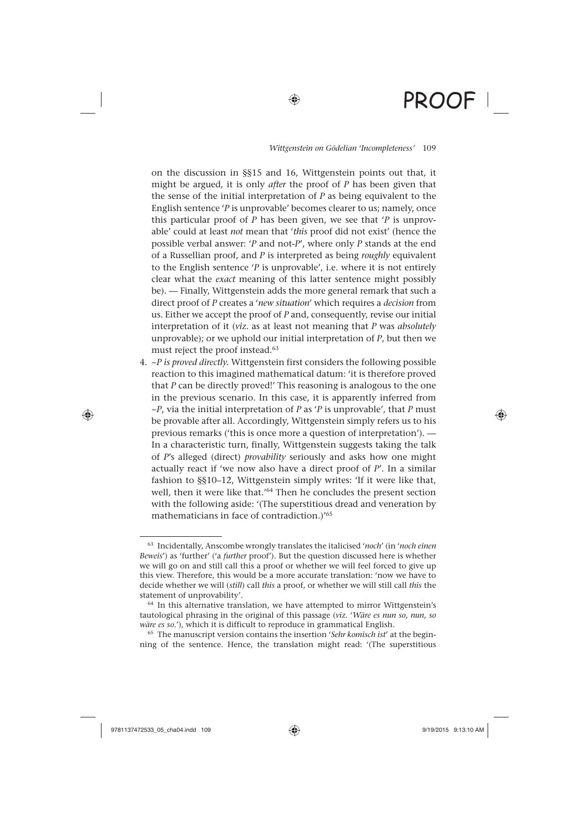#### *Wittgenstein on Gödelian 'Incompleteness'* 109

on the discussion in §§15 and 16, Wittgenstein points out that, it might be argued, it is only *after* the proof of *P* has been given that the sense of the initial interpretation of *P* as being equivalent to the English sentence 'P is unprovable' becomes clearer to us; namely, once this particular proof of  $P$  has been given, we see that  $\Delta P$  is unprovable' could at least *not* mean that 'this proof did not exist' (hence the possible verbal answer: '*P* and not-*P'*, where only *P* stands at the end of a Russellian proof, and *P* is interpreted as being *roughly* equivalent to the English sentence  $\mathcal P$  is unprovable', i.e. where it is not entirely clear what the *exact* meaning of this latter sentence might possibly be). — Finally, Wittgenstein adds the more general remark that such a direct proof of *P* creates a 'new situation' which requires a *decision* from us. Either we accept the proof of *P* and, consequently, revise our initial interpretation of it (*viz*. as at least not meaning that *P* was *absolutely* unprovable); or we uphold our initial interpretation of *P*, but then we must reject the proof instead.<sup>63</sup>

♠

 4. *~P is proved directly.* Wittgenstein first considers the following possible reaction to this imagined mathematical datum: 'it is therefore proved that *P* can be directly proved!' This reasoning is analogous to the one in the previous scenario. In this case, it is apparently inferred from  $\sim P$ , via the initial interpretation of *P* as '*P* is unprovable', that *P* must be provable after all. Accordingly, Wittgenstein simply refers us to his previous remarks ('this is once more a question of interpretation'). — In a characteristic turn, finally, Wittgenstein suggests taking the talk of *P* 's alleged (direct) *provability* seriously and asks how one might actually react if 'we now also have a direct proof of *P*'. In a similar fashion to §§10–12, Wittgenstein simply writes: 'If it were like that, well, then it were like that.'<sup> $64$ </sup> Then he concludes the present section with the following aside: '(The superstitious dread and veneration by mathematicians in face of contradiction.)<sup>'65</sup>

◈

<sup>&</sup>lt;sup>63</sup> Incidentally, Anscombe wrongly translates the italicised 'noch' (in 'noch einen *Beweis* ') as 'further' ('a *further* proof'). But the question discussed here is whether we will go on and still call this a proof or whether we will feel forced to give up this view. Therefore, this would be a more accurate translation: 'now we have to decide whether we will ( *still* ) call *this* a proof, or whether we will still call *this* the statement of unprovability'.

<sup>&</sup>lt;sup>64</sup> In this alternative translation, we have attempted to mirror Wittgenstein's tautological phrasing in the original of this passage (*viz*. ' *Wäre es nun so, nun, so*  wäre es so.'), which it is difficult to reproduce in grammatical English.

<sup>&</sup>lt;sup>65</sup> The manuscript version contains the insertion 'Sehr komisch ist' at the beginning of the sentence. Hence, the translation might read: '(The superstitious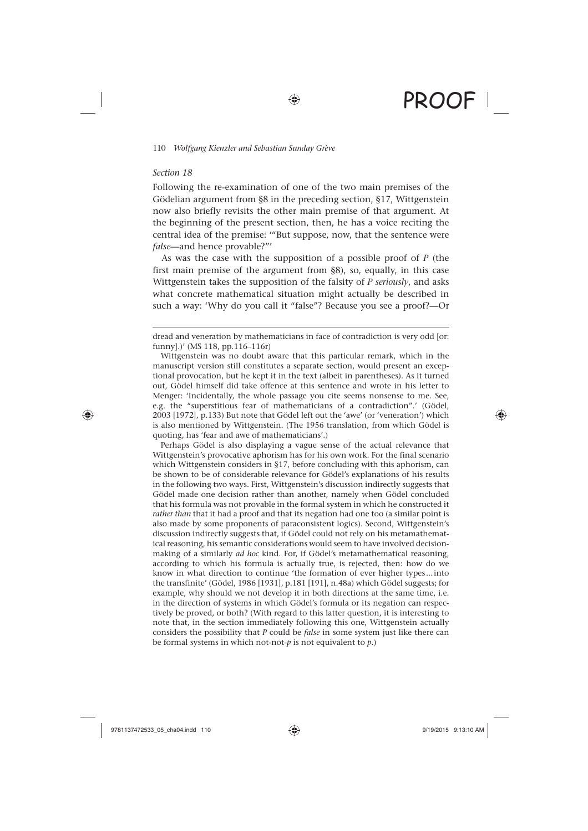### *Section 18*

◈

 Following the re-examination of one of the two main premises of the Gödelian argument from §8 in the preceding section, §17, Wittgenstein now also briefly revisits the other main premise of that argument. At the beginning of the present section, then, he has a voice reciting the central idea of the premise: '"But suppose, now, that the sentence were *false* —and hence provable?"'

♠

 As was the case with the supposition of a possible proof of *P* (the first main premise of the argument from §8), so, equally, in this case Wittgenstein takes the supposition of the falsity of *P seriously* , and asks what concrete mathematical situation might actually be described in such a way: 'Why do you call it "false"? Because you see a proof?—Or

Perhaps Gödel is also displaying a vague sense of the actual relevance that Wittgenstein's provocative aphorism has for his own work. For the final scenario which Wittgenstein considers in §17, before concluding with this aphorism, can be shown to be of considerable relevance for Gödel's explanations of his results in the following two ways. First, Wittgenstein's discussion indirectly suggests that Gödel made one decision rather than another, namely when Gödel concluded that his formula was not provable in the formal system in which he constructed it *rather than* that it had a proof and that its negation had one too (a similar point is also made by some proponents of paraconsistent logics). Second, Wittgenstein's discussion indirectly suggests that, if Gödel could not rely on his metamathematical reasoning, his semantic considerations would seem to have involved decisionmaking of a similarly *ad hoc* kind. For, if Gödel's metamathematical reasoning, according to which his formula is actually true, is rejected, then: how do we know in what direction to continue 'the formation of ever higher types ... into the transfinite' (Gödel, 1986 [1931], p.181 [191], n.48a) which Gödel suggests; for example, why should we not develop it in both directions at the same time, i.e. in the direction of systems in which Gödel's formula or its negation can respectively be proved, or both? (With regard to this latter question, it is interesting to note that, in the section immediately following this one, Wittgenstein actually considers the possibility that *P* could be *false* in some system just like there can be formal systems in which not-not- $p$  is not equivalent to  $p$ .)

⊕

dread and veneration by mathematicians in face of contradiction is very odd [or: funny].)' (MS 118, pp.116–116r)

Wittgenstein was no doubt aware that this particular remark, which in the manuscript version still constitutes a separate section, would present an exceptional provocation, but he kept it in the text (albeit in parentheses). As it turned out, Gödel himself did take offence at this sentence and wrote in his letter to Menger: 'Incidentally, the whole passage you cite seems nonsense to me. See, e.g. the "superstitious fear of mathematicians of a contradiction".' (Gödel, 2003 [1972], p.133) But note that Gödel left out the 'awe' (or 'veneration') which is also mentioned by Wittgenstein. (The 1956 translation, from which Gödel is quoting, has 'fear and awe of mathematicians'.)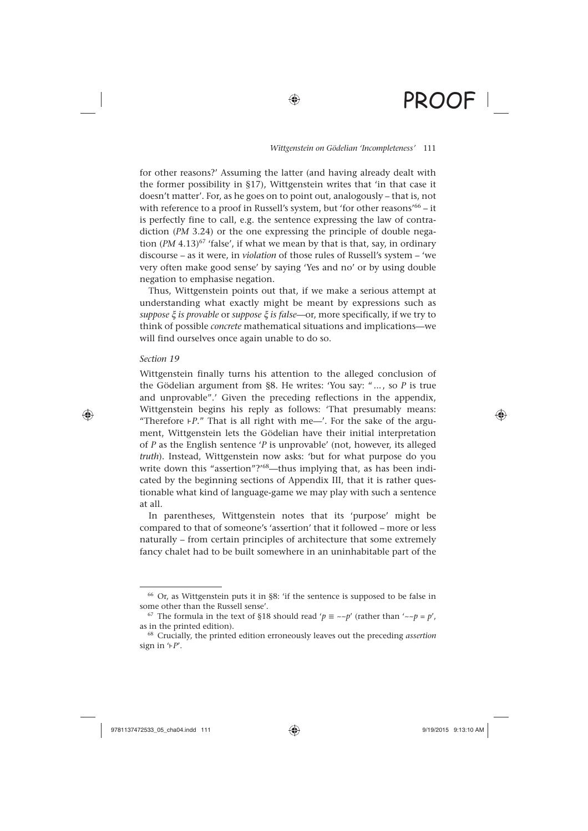for other reasons?' Assuming the latter (and having already dealt with the former possibility in §17), Wittgenstein writes that 'in that case it doesn't matter'. For, as he goes on to point out, analogously – that is, not with reference to a proof in Russell's system, but 'for other reasons'<sup>66</sup> – it is perfectly fine to call, e.g. the sentence expressing the law of contradiction (*PM* 3.24) or the one expressing the principle of double negation  $(PM\ 4.13)^{67}$  'false', if what we mean by that is that, say, in ordinary discourse – as it were, in *violation* of those rules of Russell's system – 'we very often make good sense' by saying 'Yes and no' or by using double negation to emphasise negation.

♠

 Thus, Wittgenstein points out that, if we make a serious attempt at understanding what exactly might be meant by expressions such as *suppose ξ is provable* or *suppose ξ is false* —or, more specifically, if we try to think of possible *concrete* mathematical situations and implications—we will find ourselves once again unable to do so.

#### *Section 19*

⊕

 Wittgenstein finally turns his attention to the alleged conclusion of the Gödelian argument from §8. He writes: 'You say: " ... , so *P* is true and unprovable".' Given the preceding reflections in the appendix, Wittgenstein begins his reply as follows: 'That presumably means: "Therefore  $+P$ ." That is all right with me—'. For the sake of the argument, Wittgenstein lets the Gödelian have their initial interpretation of *P* as the English sentence '*P* is unprovable' (not, however, its alleged *truth*). Instead, Wittgenstein now asks: 'but for what purpose do you write down this "assertion"?<sup>'68</sup>—thus implying that, as has been indicated by the beginning sections of Appendix III, that it is rather questionable what kind of language-game we may play with such a sentence at all.

 In parentheses, Wittgenstein notes that its 'purpose' might be compared to that of someone's 'assertion' that it followed – more or less naturally – from certain principles of architecture that some extremely fancy chalet had to be built somewhere in an uninhabitable part of the

 $66$  Or, as Wittgenstein puts it in §8: 'if the sentence is supposed to be false in some other than the Russell sense'.

<sup>&</sup>lt;sup>67</sup> The formula in the text of §18 should read ' $p \equiv \sim p'$  (rather than ' $\sim p = p'$ ), as in the printed edition).

<sup>68</sup>Crucially, the printed edition erroneously leaves out the preceding *assertion* sign in  $F$ .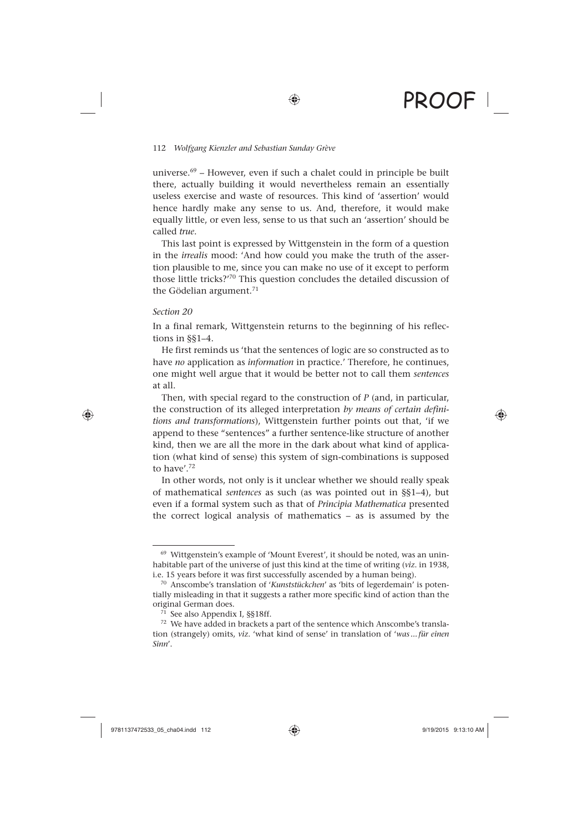universe. <sup>69</sup> – However, even if such a chalet could in principle be built there, actually building it would nevertheless remain an essentially useless exercise and waste of resources. This kind of 'assertion' would hence hardly make any sense to us. And, therefore, it would make equally little, or even less, sense to us that such an 'assertion' should be called *true*.

♠

 This last point is expressed by Wittgenstein in the form of a question in the *irrealis* mood: 'And how could you make the truth of the assertion plausible to me, since you can make no use of it except to perform those little tricks?'<sup>70</sup> This question concludes the detailed discussion of the Gödelian argument.<sup>71</sup>

### *Section 20*

◈

 In a final remark, Wittgenstein returns to the beginning of his reflections in §§1–4.

 He first reminds us 'that the sentences of logic are so constructed as to have *no* application as *information* in practice.' Therefore, he continues, one might well argue that it would be better not to call them *sentences* at all.

 Then, with special regard to the construction of *P* (and, in particular, the construction of its alleged interpretation *by means of certain definitions and transformations* ), Wittgenstein further points out that, 'if we append to these "sentences" a further sentence-like structure of another kind, then we are all the more in the dark about what kind of application (what kind of sense) this system of sign-combinations is supposed to have'.<sup>72</sup>

 In other words, not only is it unclear whether we should really speak of mathematical *sentences* as such (as was pointed out in §§1–4), but even if a formal system such as that of *Principia Mathematica* presented the correct logical analysis of mathematics – as is assumed by the

<sup>69</sup> Wittgenstein's example of 'Mount Everest', it should be noted, was an uninhabitable part of the universe of just this kind at the time of writing (viz. in 1938, i.e. 15 years before it was first successfully ascended by a human being).

<sup>&</sup>lt;sup>70</sup> Anscombe's translation of '*Kunststückchen'* as 'bits of legerdemain' is potentially misleading in that it suggests a rather more specific kind of action than the original German does.

 $71$  See also Appendix I, §§18ff.

<sup>&</sup>lt;sup>72</sup> We have added in brackets a part of the sentence which Anscombe's translation (strangely) omits, *viz.* 'what kind of sense' in translation of 'was... für einen *Sinn* '.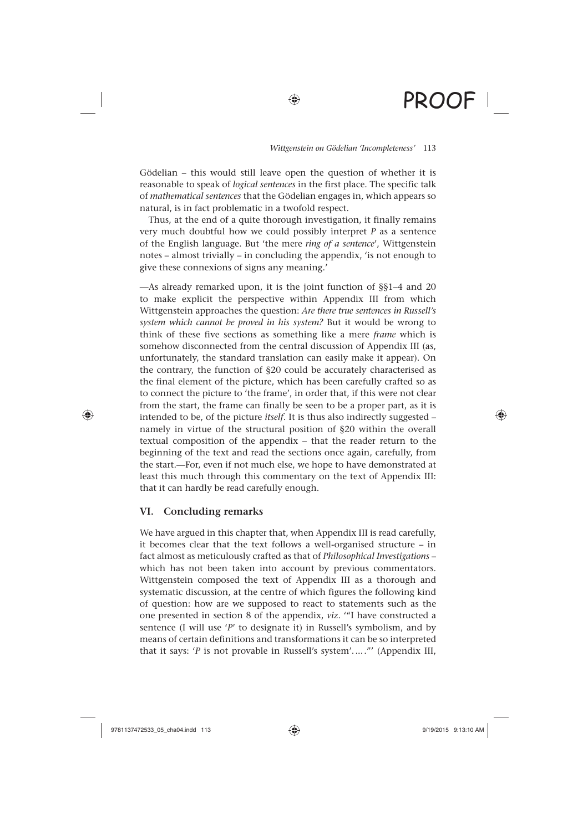Gödelian – this would still leave open the question of whether it is reasonable to speak of *logical sentences* in the first place. The specific talk of *mathematical sentences* that the Gödelian engages in, which appears so natural, is in fact problematic in a twofold respect.

♠

 Thus, at the end of a quite thorough investigation, it finally remains very much doubtful how we could possibly interpret *P* as a sentence of the English language. But 'the mere *ring of a sentence'*, Wittgenstein notes – almost trivially – in concluding the appendix, 'is not enough to give these connexions of signs any meaning.'

 —As already remarked upon, it is the joint function of §§1–4 and 20 to make explicit the perspective within Appendix III from which Wittgenstein approaches the question: *Are there true sentences in Russell's system which cannot be proved in his system?* But it would be wrong to think of these five sections as something like a mere *frame* which is somehow disconnected from the central discussion of Appendix III (as, unfortunately, the standard translation can easily make it appear). On the contrary, the function of §20 could be accurately characterised as the final element of the picture, which has been carefully crafted so as to connect the picture to 'the frame', in order that, if this were not clear from the start, the frame can finally be seen to be a proper part, as it is intended to be, of the picture *itself*. It is thus also indirectly suggested namely in virtue of the structural position of §20 within the overall textual composition of the appendix – that the reader return to the beginning of the text and read the sections once again, carefully, from the start.—For, even if not much else, we hope to have demonstrated at least this much through this commentary on the text of Appendix III: that it can hardly be read carefully enough.

### **VI. Concluding remarks**

◈

 We have argued in this chapter that, when Appendix III is read carefully, it becomes clear that the text follows a well-organised structure – in fact almost as meticulously crafted as that of *Philosophical Investigations* – which has not been taken into account by previous commentators. Wittgenstein composed the text of Appendix III as a thorough and systematic discussion, at the centre of which figures the following kind of question: how are we supposed to react to statements such as the one presented in section 8 of the appendix, *viz* . '"I have constructed a sentence (I will use 'P' to designate it) in Russell's symbolism, and by means of certain definitions and transformations it can be so interpreted that it says: 'P is not provable in Russell's system'....."' (Appendix III, ⊕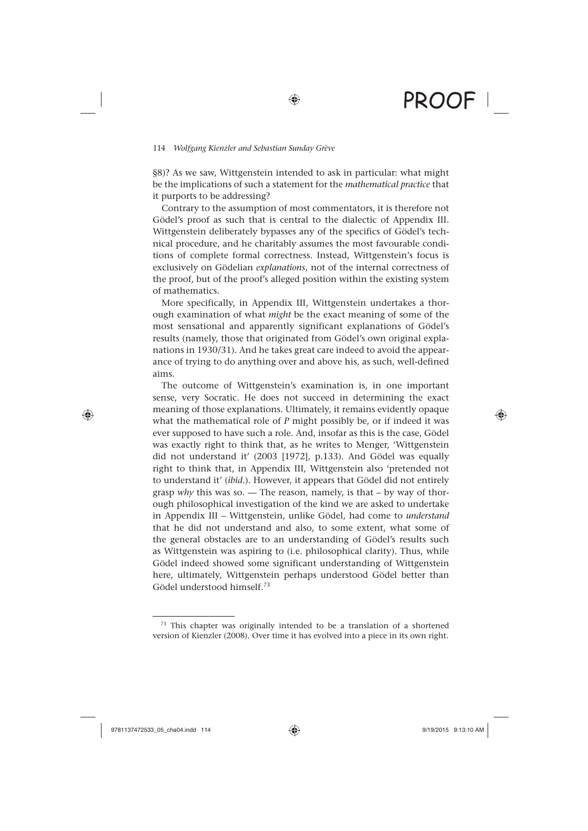§8)? As we saw, Wittgenstein intended to ask in particular: what might be the implications of such a statement for the *mathematical practice* that it purports to be addressing?

♠

 Contrary to the assumption of most commentators, it is therefore not Gödel's proof as such that is central to the dialectic of Appendix III. Wittgenstein deliberately bypasses any of the specifics of Gödel's technical procedure, and he charitably assumes the most favourable conditions of complete formal correctness. Instead, Wittgenstein's focus is exclusively on Gödelian *explanations* , not of the internal correctness of the proof, but of the proof's alleged position within the existing system of mathematics.

 More specifically, in Appendix III, Wittgenstein undertakes a thorough examination of what *might* be the exact meaning of some of the most sensational and apparently significant explanations of Gödel's results (namely, those that originated from Gödel's own original explanations in 1930/31). And he takes great care indeed to avoid the appearance of trying to do anything over and above his, as such, well-defined aims.

 The outcome of Wittgenstein's examination is, in one important sense, very Socratic. He does not succeed in determining the exact meaning of those explanations. Ultimately, it remains evidently opaque what the mathematical role of *P* might possibly be, or if indeed it was ever supposed to have such a role. And, insofar as this is the case, Gödel was exactly right to think that, as he writes to Menger, 'Wittgenstein did not understand it' (2003 [1972], p.133). And Gödel was equally right to think that, in Appendix III, Wittgenstein also 'pretended not to understand it' (ibid.). However, it appears that Gödel did not entirely grasp *why* this was so. — The reason, namely, is that – by way of thorough philosophical investigation of the kind we are asked to undertake in Appendix III – Wittgenstein, unlike Gödel, had come to *understand* that he did not understand and also, to some extent, what some of the general obstacles are to an understanding of Gödel's results such as Wittgenstein was aspiring to (i.e. philosophical clarity). Thus, while Gödel indeed showed some significant understanding of Wittgenstein here, ultimately, Wittgenstein perhaps understood Gödel better than Gödel understood himself. <sup>73</sup>

◈

<sup>&</sup>lt;sup>73</sup> This chapter was originally intended to be a translation of a shortened version of Kienzler (2008). Over time it has evolved into a piece in its own right.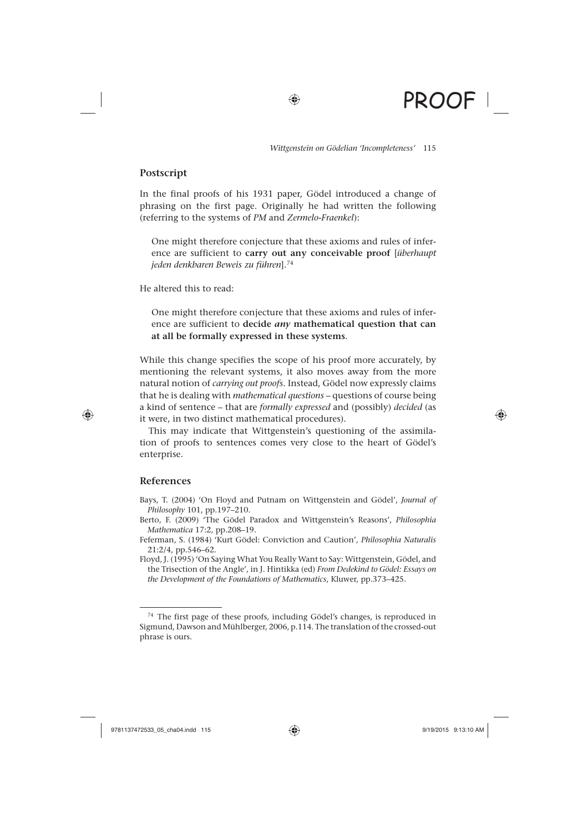# PROOF |

*Wittgenstein on Gödelian 'Incompleteness'* 115

# **Postscript**

 In the final proofs of his 1931 paper, Gödel introduced a change of phrasing on the first page. Originally he had written the following (referring to the systems of *PM* and *Zermelo-Fraenkel* ):

 One might therefore conjecture that these axioms and rules of inference are sufficient to *carry* out any conceivable proof [*überhaupt* jeden denkbaren Beweis zu führen<sup>14</sup>

He altered this to read:

 One might therefore conjecture that these axioms and rules of inference are sufficient to **decide any mathematical question that can at all be formally expressed in these systems** .

 While this change specifies the scope of his proof more accurately, by mentioning the relevant systems, it also moves away from the more natural notion of *carrying out proofs* . Instead, Gödel now expressly claims that he is dealing with *mathematical questions* – questions of course being a kind of sentence – that are *formally expressed* and (possibly) *decided* (as it were, in two distinct mathematical procedures).

 This may indicate that Wittgenstein's questioning of the assimilation of proofs to sentences comes very close to the heart of Gödel's enterprise.

### **References**

⊕

♠

Bays, T. (2004) 'On Floyd and Putnam on Wittgenstein and Gödel', *Journal of Philosophy* 101, pp.197–210.

Berto, F. (2009) 'The Gödel Paradox and Wittgenstein's Reasons', *Philosophia Mathematica* 17:2, pp.208–19.

Feferman, S. (1984) 'Kurt Gödel: Conviction and Caution', *Philosophia Naturalis* 21:2/4, pp.546–62.

Floyd, J. (1995) 'On Saying What You Really Want to Say: Wittgenstein, Gödel, and the Trisection of the Angle', in J. Hintikka (ed) *From Dedekind to Gödel: Essays on the Development of the Foundations of Mathematics* , Kluwer, pp.373–425.

<sup>&</sup>lt;sup>74</sup> The first page of these proofs, including Gödel's changes, is reproduced in Sigmund, Dawson and Mühlberger, 2006, p.114. The translation of the crossed-out phrase is ours.